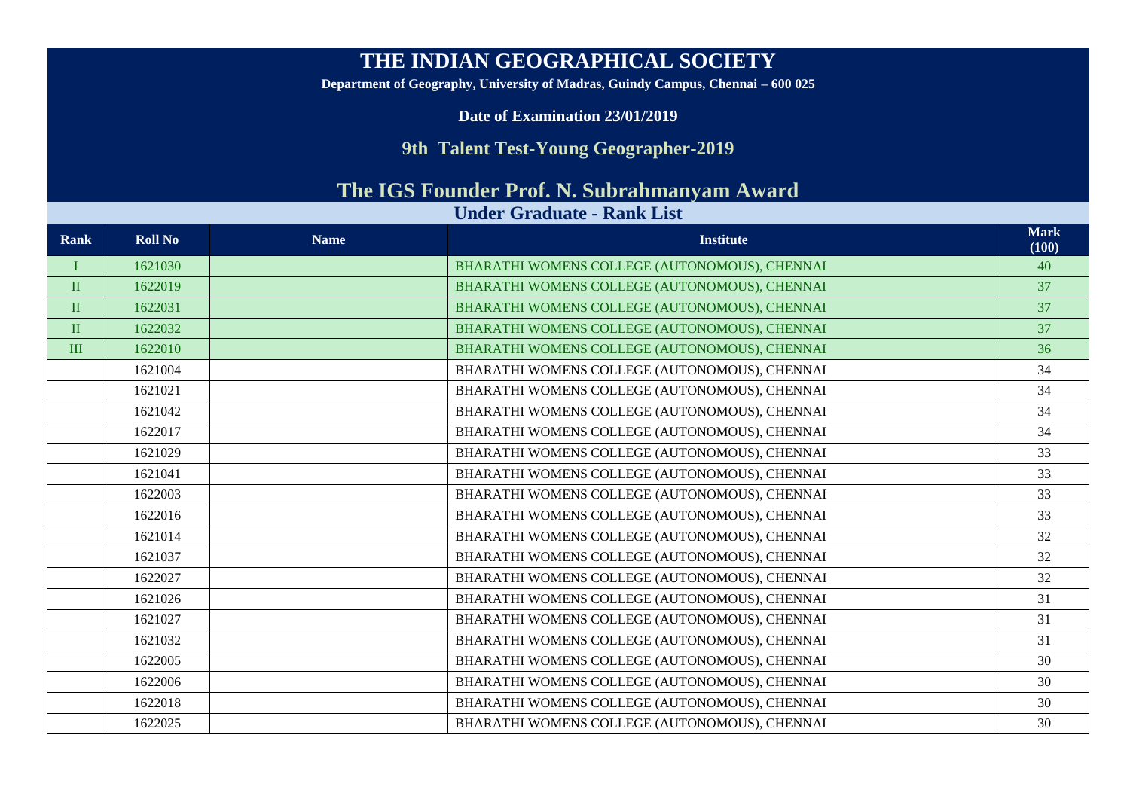## **THE INDIAN GEOGRAPHICAL SOCIETY**

**Department of Geography, University of Madras, Guindy Campus, Chennai – 600 025**

**Date of Examination 23/01/2019**

## **9th Talent Test-Young Geographer-2019**

## **The IGS Founder Prof. N. Subrahmanyam Award**

## **Under Graduate - Rank List**

| Rank         | <b>Roll No</b> | <b>Name</b> | <b>Institute</b>                              | <b>Mark</b><br>(100) |
|--------------|----------------|-------------|-----------------------------------------------|----------------------|
|              | 1621030        |             | BHARATHI WOMENS COLLEGE (AUTONOMOUS), CHENNAI | 40                   |
| $\mathbf{I}$ | 1622019        |             | BHARATHI WOMENS COLLEGE (AUTONOMOUS), CHENNAI | 37                   |
| $\mathbf{I}$ | 1622031        |             | BHARATHI WOMENS COLLEGE (AUTONOMOUS), CHENNAI | 37                   |
| $\mathbf{I}$ | 1622032        |             | BHARATHI WOMENS COLLEGE (AUTONOMOUS), CHENNAI | 37                   |
| III          | 1622010        |             | BHARATHI WOMENS COLLEGE (AUTONOMOUS), CHENNAI | 36                   |
|              | 1621004        |             | BHARATHI WOMENS COLLEGE (AUTONOMOUS), CHENNAI | 34                   |
|              | 1621021        |             | BHARATHI WOMENS COLLEGE (AUTONOMOUS), CHENNAI | 34                   |
|              | 1621042        |             | BHARATHI WOMENS COLLEGE (AUTONOMOUS), CHENNAI | 34                   |
|              | 1622017        |             | BHARATHI WOMENS COLLEGE (AUTONOMOUS), CHENNAI | 34                   |
|              | 1621029        |             | BHARATHI WOMENS COLLEGE (AUTONOMOUS), CHENNAI | 33                   |
|              | 1621041        |             | BHARATHI WOMENS COLLEGE (AUTONOMOUS), CHENNAI | 33                   |
|              | 1622003        |             | BHARATHI WOMENS COLLEGE (AUTONOMOUS), CHENNAI | 33                   |
|              | 1622016        |             | BHARATHI WOMENS COLLEGE (AUTONOMOUS), CHENNAI | 33                   |
|              | 1621014        |             | BHARATHI WOMENS COLLEGE (AUTONOMOUS), CHENNAI | 32                   |
|              | 1621037        |             | BHARATHI WOMENS COLLEGE (AUTONOMOUS), CHENNAI | 32                   |
|              | 1622027        |             | BHARATHI WOMENS COLLEGE (AUTONOMOUS), CHENNAI | 32                   |
|              | 1621026        |             | BHARATHI WOMENS COLLEGE (AUTONOMOUS), CHENNAI | 31                   |
|              | 1621027        |             | BHARATHI WOMENS COLLEGE (AUTONOMOUS), CHENNAI | 31                   |
|              | 1621032        |             | BHARATHI WOMENS COLLEGE (AUTONOMOUS), CHENNAI | 31                   |
|              | 1622005        |             | BHARATHI WOMENS COLLEGE (AUTONOMOUS), CHENNAI | 30                   |
|              | 1622006        |             | BHARATHI WOMENS COLLEGE (AUTONOMOUS), CHENNAI | 30                   |
|              | 1622018        |             | BHARATHI WOMENS COLLEGE (AUTONOMOUS), CHENNAI | 30                   |
|              | 1622025        |             | BHARATHI WOMENS COLLEGE (AUTONOMOUS), CHENNAI | 30                   |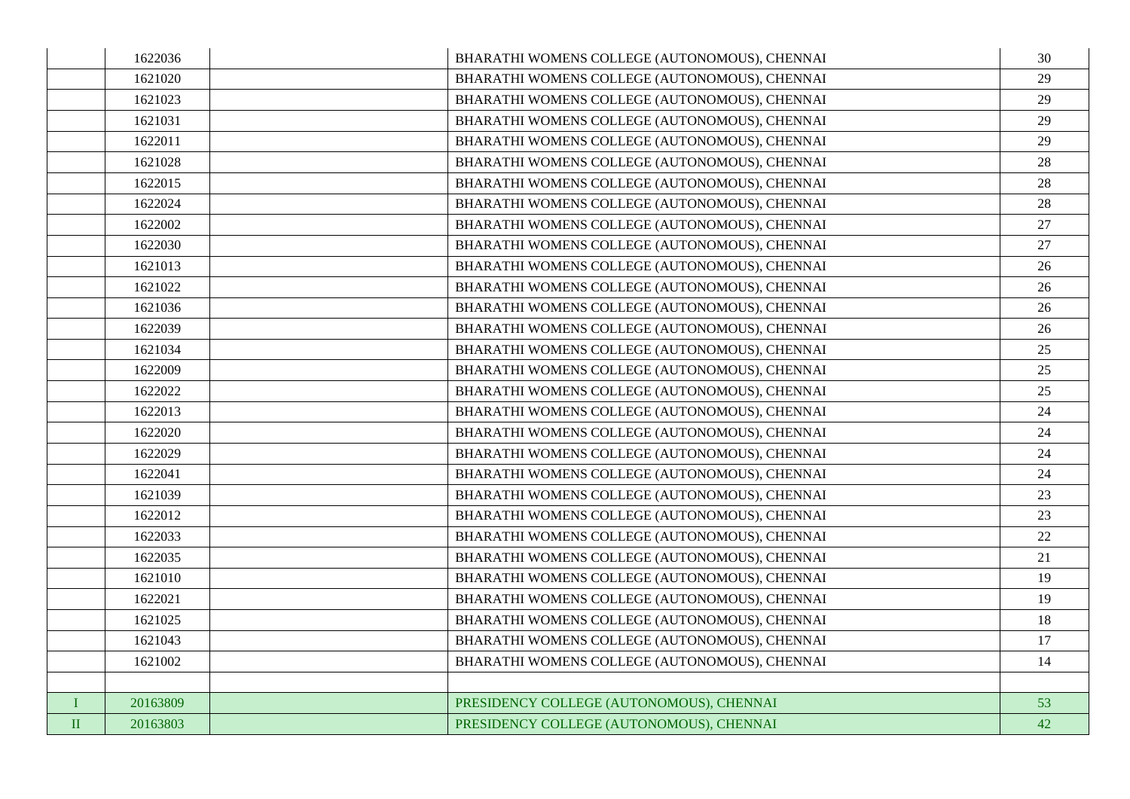|          | 1622036  | BHARATHI WOMENS COLLEGE (AUTONOMOUS), CHENNAI | 30 |
|----------|----------|-----------------------------------------------|----|
|          | 1621020  | BHARATHI WOMENS COLLEGE (AUTONOMOUS), CHENNAI | 29 |
|          | 1621023  | BHARATHI WOMENS COLLEGE (AUTONOMOUS), CHENNAI | 29 |
|          | 1621031  | BHARATHI WOMENS COLLEGE (AUTONOMOUS), CHENNAI | 29 |
|          | 1622011  | BHARATHI WOMENS COLLEGE (AUTONOMOUS), CHENNAI | 29 |
|          | 1621028  | BHARATHI WOMENS COLLEGE (AUTONOMOUS), CHENNAI | 28 |
|          | 1622015  | BHARATHI WOMENS COLLEGE (AUTONOMOUS), CHENNAI | 28 |
|          | 1622024  | BHARATHI WOMENS COLLEGE (AUTONOMOUS), CHENNAI | 28 |
|          | 1622002  | BHARATHI WOMENS COLLEGE (AUTONOMOUS), CHENNAI | 27 |
|          | 1622030  | BHARATHI WOMENS COLLEGE (AUTONOMOUS), CHENNAI | 27 |
|          | 1621013  | BHARATHI WOMENS COLLEGE (AUTONOMOUS), CHENNAI | 26 |
|          | 1621022  | BHARATHI WOMENS COLLEGE (AUTONOMOUS), CHENNAI | 26 |
|          | 1621036  | BHARATHI WOMENS COLLEGE (AUTONOMOUS), CHENNAI | 26 |
|          | 1622039  | BHARATHI WOMENS COLLEGE (AUTONOMOUS), CHENNAI | 26 |
|          | 1621034  | BHARATHI WOMENS COLLEGE (AUTONOMOUS), CHENNAI | 25 |
|          | 1622009  | BHARATHI WOMENS COLLEGE (AUTONOMOUS), CHENNAI | 25 |
|          | 1622022  | BHARATHI WOMENS COLLEGE (AUTONOMOUS), CHENNAI | 25 |
|          | 1622013  | BHARATHI WOMENS COLLEGE (AUTONOMOUS), CHENNAI | 24 |
|          | 1622020  | BHARATHI WOMENS COLLEGE (AUTONOMOUS), CHENNAI | 24 |
|          | 1622029  | BHARATHI WOMENS COLLEGE (AUTONOMOUS), CHENNAI | 24 |
|          | 1622041  | BHARATHI WOMENS COLLEGE (AUTONOMOUS), CHENNAI | 24 |
|          | 1621039  | BHARATHI WOMENS COLLEGE (AUTONOMOUS), CHENNAI | 23 |
|          | 1622012  | BHARATHI WOMENS COLLEGE (AUTONOMOUS), CHENNAI | 23 |
|          | 1622033  | BHARATHI WOMENS COLLEGE (AUTONOMOUS), CHENNAI | 22 |
|          | 1622035  | BHARATHI WOMENS COLLEGE (AUTONOMOUS), CHENNAI | 21 |
|          | 1621010  | BHARATHI WOMENS COLLEGE (AUTONOMOUS), CHENNAI | 19 |
|          | 1622021  | BHARATHI WOMENS COLLEGE (AUTONOMOUS), CHENNAI | 19 |
|          | 1621025  | BHARATHI WOMENS COLLEGE (AUTONOMOUS), CHENNAI | 18 |
|          | 1621043  | BHARATHI WOMENS COLLEGE (AUTONOMOUS), CHENNAI | 17 |
|          | 1621002  | BHARATHI WOMENS COLLEGE (AUTONOMOUS), CHENNAI | 14 |
|          |          |                                               |    |
| L        | 20163809 | PRESIDENCY COLLEGE (AUTONOMOUS), CHENNAI      | 53 |
| $\rm II$ | 20163803 | PRESIDENCY COLLEGE (AUTONOMOUS), CHENNAI      | 42 |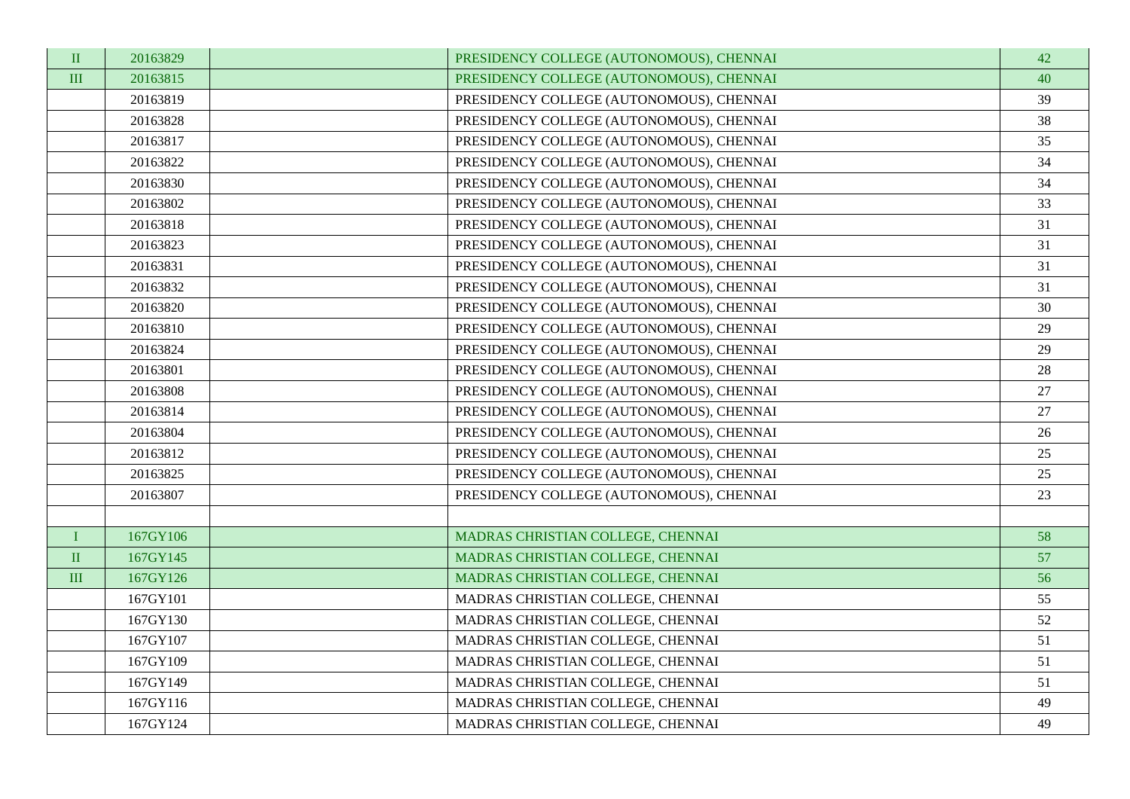| $\rm II$       | 20163829 | PRESIDENCY COLLEGE (AUTONOMOUS), CHENNAI | 42     |
|----------------|----------|------------------------------------------|--------|
| $\mathbf{III}$ | 20163815 | PRESIDENCY COLLEGE (AUTONOMOUS), CHENNAI | 40     |
|                | 20163819 | PRESIDENCY COLLEGE (AUTONOMOUS), CHENNAI | 39     |
|                | 20163828 | PRESIDENCY COLLEGE (AUTONOMOUS), CHENNAI | 38     |
|                | 20163817 | PRESIDENCY COLLEGE (AUTONOMOUS), CHENNAI | 35     |
|                | 20163822 | PRESIDENCY COLLEGE (AUTONOMOUS), CHENNAI | 34     |
|                | 20163830 | PRESIDENCY COLLEGE (AUTONOMOUS), CHENNAI | 34     |
|                | 20163802 | PRESIDENCY COLLEGE (AUTONOMOUS), CHENNAI | 33     |
|                | 20163818 | PRESIDENCY COLLEGE (AUTONOMOUS), CHENNAI | 31     |
|                | 20163823 | PRESIDENCY COLLEGE (AUTONOMOUS), CHENNAI | 31     |
|                | 20163831 | PRESIDENCY COLLEGE (AUTONOMOUS), CHENNAI | 31     |
|                | 20163832 | PRESIDENCY COLLEGE (AUTONOMOUS), CHENNAI | 31     |
|                | 20163820 | PRESIDENCY COLLEGE (AUTONOMOUS), CHENNAI | 30     |
|                | 20163810 | PRESIDENCY COLLEGE (AUTONOMOUS), CHENNAI | 29     |
|                | 20163824 | PRESIDENCY COLLEGE (AUTONOMOUS), CHENNAI | 29     |
|                | 20163801 | PRESIDENCY COLLEGE (AUTONOMOUS), CHENNAI | $28\,$ |
|                | 20163808 | PRESIDENCY COLLEGE (AUTONOMOUS), CHENNAI | 27     |
|                | 20163814 | PRESIDENCY COLLEGE (AUTONOMOUS), CHENNAI | 27     |
|                | 20163804 | PRESIDENCY COLLEGE (AUTONOMOUS), CHENNAI | 26     |
|                | 20163812 | PRESIDENCY COLLEGE (AUTONOMOUS), CHENNAI | 25     |
|                | 20163825 | PRESIDENCY COLLEGE (AUTONOMOUS), CHENNAI | 25     |
|                | 20163807 | PRESIDENCY COLLEGE (AUTONOMOUS), CHENNAI | 23     |
|                |          |                                          |        |
| L              | 167GY106 | MADRAS CHRISTIAN COLLEGE, CHENNAI        | 58     |
| $\rm II$       | 167GY145 | MADRAS CHRISTIAN COLLEGE, CHENNAI        | 57     |
| III            | 167GY126 | MADRAS CHRISTIAN COLLEGE, CHENNAI        | 56     |
|                | 167GY101 | MADRAS CHRISTIAN COLLEGE, CHENNAI        | 55     |
|                | 167GY130 | MADRAS CHRISTIAN COLLEGE, CHENNAI        | 52     |
|                | 167GY107 | MADRAS CHRISTIAN COLLEGE, CHENNAI        | 51     |
|                | 167GY109 | MADRAS CHRISTIAN COLLEGE, CHENNAI        | 51     |
|                | 167GY149 | MADRAS CHRISTIAN COLLEGE, CHENNAI        | 51     |
|                | 167GY116 | MADRAS CHRISTIAN COLLEGE, CHENNAI        | 49     |
|                | 167GY124 | MADRAS CHRISTIAN COLLEGE, CHENNAI        | 49     |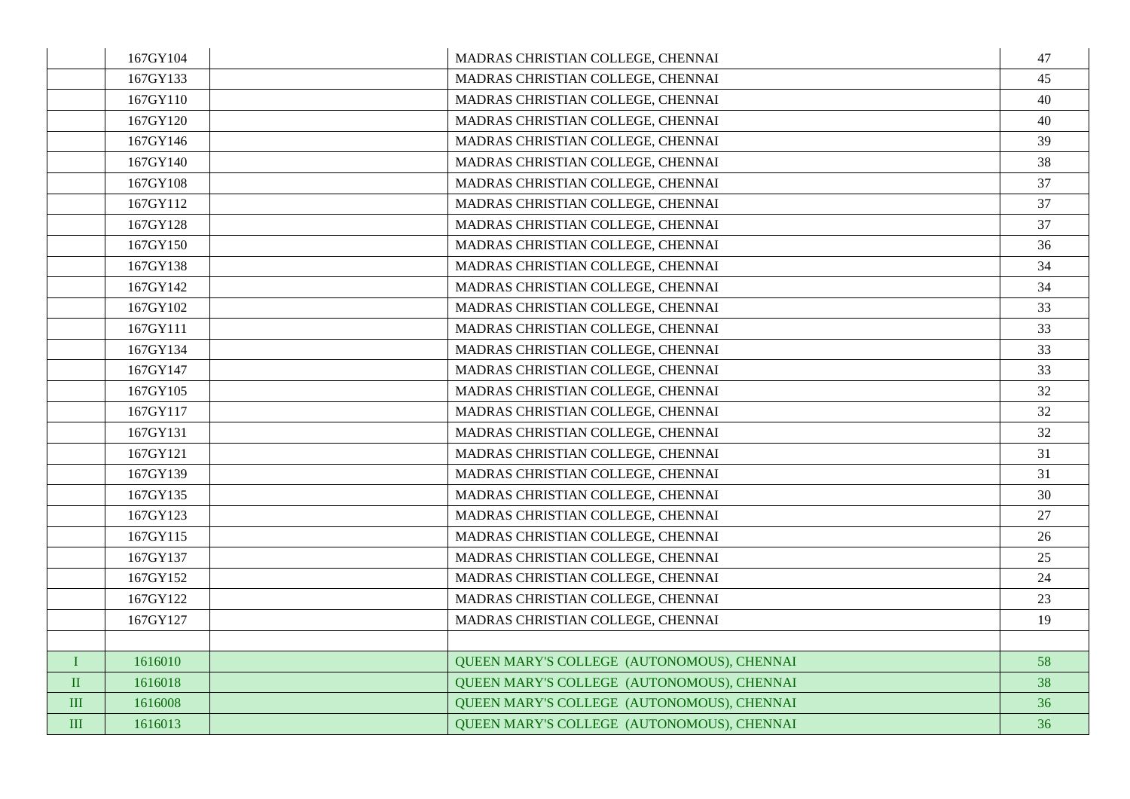|              | 167GY104 | MADRAS CHRISTIAN COLLEGE, CHENNAI          | 47 |
|--------------|----------|--------------------------------------------|----|
|              | 167GY133 | MADRAS CHRISTIAN COLLEGE, CHENNAI          | 45 |
|              | 167GY110 | MADRAS CHRISTIAN COLLEGE, CHENNAI          | 40 |
|              | 167GY120 | MADRAS CHRISTIAN COLLEGE, CHENNAI          | 40 |
|              | 167GY146 | MADRAS CHRISTIAN COLLEGE, CHENNAI          | 39 |
|              | 167GY140 | MADRAS CHRISTIAN COLLEGE, CHENNAI          | 38 |
|              | 167GY108 | MADRAS CHRISTIAN COLLEGE, CHENNAI          | 37 |
|              | 167GY112 | MADRAS CHRISTIAN COLLEGE, CHENNAI          | 37 |
|              | 167GY128 | MADRAS CHRISTIAN COLLEGE, CHENNAI          | 37 |
|              | 167GY150 | MADRAS CHRISTIAN COLLEGE, CHENNAI          | 36 |
|              | 167GY138 | MADRAS CHRISTIAN COLLEGE, CHENNAI          | 34 |
|              | 167GY142 | MADRAS CHRISTIAN COLLEGE, CHENNAI          | 34 |
|              | 167GY102 | MADRAS CHRISTIAN COLLEGE, CHENNAI          | 33 |
|              | 167GY111 | MADRAS CHRISTIAN COLLEGE, CHENNAI          | 33 |
|              | 167GY134 | MADRAS CHRISTIAN COLLEGE, CHENNAI          | 33 |
|              | 167GY147 | MADRAS CHRISTIAN COLLEGE, CHENNAI          | 33 |
|              | 167GY105 | MADRAS CHRISTIAN COLLEGE, CHENNAI          | 32 |
|              | 167GY117 | MADRAS CHRISTIAN COLLEGE, CHENNAI          | 32 |
|              | 167GY131 | MADRAS CHRISTIAN COLLEGE, CHENNAI          | 32 |
|              | 167GY121 | MADRAS CHRISTIAN COLLEGE, CHENNAI          | 31 |
|              | 167GY139 | MADRAS CHRISTIAN COLLEGE, CHENNAI          | 31 |
|              | 167GY135 | MADRAS CHRISTIAN COLLEGE, CHENNAI          | 30 |
|              | 167GY123 | MADRAS CHRISTIAN COLLEGE, CHENNAI          | 27 |
|              | 167GY115 | MADRAS CHRISTIAN COLLEGE, CHENNAI          | 26 |
|              | 167GY137 | MADRAS CHRISTIAN COLLEGE, CHENNAI          | 25 |
|              | 167GY152 | MADRAS CHRISTIAN COLLEGE, CHENNAI          | 24 |
|              | 167GY122 | MADRAS CHRISTIAN COLLEGE, CHENNAI          | 23 |
|              | 167GY127 | MADRAS CHRISTIAN COLLEGE, CHENNAI          | 19 |
|              |          |                                            |    |
| $\bf{I}$     | 1616010  | QUEEN MARY'S COLLEGE (AUTONOMOUS), CHENNAI | 58 |
| $\rm II$     | 1616018  | QUEEN MARY'S COLLEGE (AUTONOMOUS), CHENNAI | 38 |
| $\mathbf{I}$ | 1616008  | QUEEN MARY'S COLLEGE (AUTONOMOUS), CHENNAI | 36 |
| III          | 1616013  | QUEEN MARY'S COLLEGE (AUTONOMOUS), CHENNAI | 36 |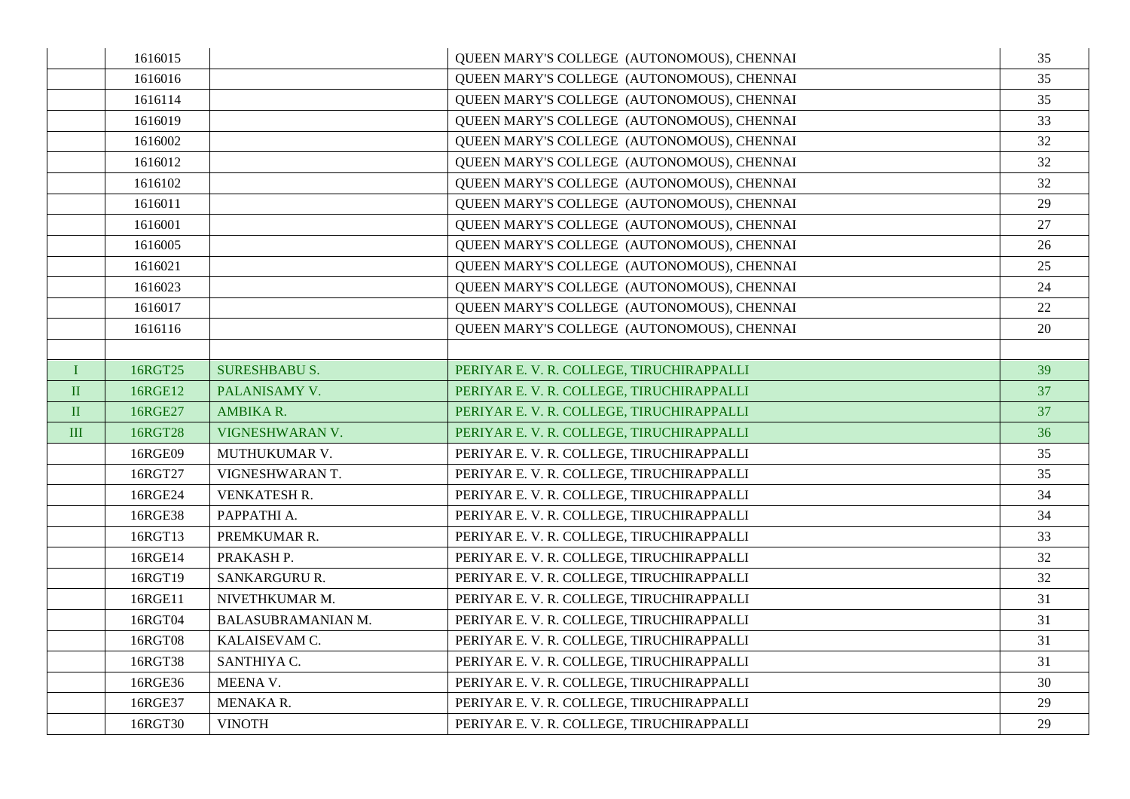|           | 1616015 |                           | QUEEN MARY'S COLLEGE (AUTONOMOUS), CHENNAI | 35 |
|-----------|---------|---------------------------|--------------------------------------------|----|
|           | 1616016 |                           | QUEEN MARY'S COLLEGE (AUTONOMOUS), CHENNAI | 35 |
|           | 1616114 |                           | QUEEN MARY'S COLLEGE (AUTONOMOUS), CHENNAI | 35 |
|           | 1616019 |                           | QUEEN MARY'S COLLEGE (AUTONOMOUS), CHENNAI | 33 |
|           | 1616002 |                           | QUEEN MARY'S COLLEGE (AUTONOMOUS), CHENNAI | 32 |
|           | 1616012 |                           | QUEEN MARY'S COLLEGE (AUTONOMOUS), CHENNAI | 32 |
|           | 1616102 |                           | QUEEN MARY'S COLLEGE (AUTONOMOUS), CHENNAI | 32 |
|           | 1616011 |                           | QUEEN MARY'S COLLEGE (AUTONOMOUS), CHENNAI | 29 |
|           | 1616001 |                           | QUEEN MARY'S COLLEGE (AUTONOMOUS), CHENNAI | 27 |
|           | 1616005 |                           | QUEEN MARY'S COLLEGE (AUTONOMOUS), CHENNAI | 26 |
|           | 1616021 |                           | QUEEN MARY'S COLLEGE (AUTONOMOUS), CHENNAI | 25 |
|           | 1616023 |                           | QUEEN MARY'S COLLEGE (AUTONOMOUS), CHENNAI | 24 |
|           | 1616017 |                           | QUEEN MARY'S COLLEGE (AUTONOMOUS), CHENNAI | 22 |
|           | 1616116 |                           | QUEEN MARY'S COLLEGE (AUTONOMOUS), CHENNAI | 20 |
|           |         |                           |                                            |    |
| $\bf I$   | 16RGT25 | <b>SURESHBABU S.</b>      | PERIYAR E. V. R. COLLEGE, TIRUCHIRAPPALLI  | 39 |
| $\rm II$  | 16RGE12 | PALANISAMY V.             | PERIYAR E. V. R. COLLEGE, TIRUCHIRAPPALLI  | 37 |
| $\rm II$  | 16RGE27 | AMBIKA R.                 | PERIYAR E. V. R. COLLEGE, TIRUCHIRAPPALLI  | 37 |
| $\rm III$ | 16RGT28 | VIGNESHWARAN V.           | PERIYAR E. V. R. COLLEGE, TIRUCHIRAPPALLI  | 36 |
|           | 16RGE09 | <b>MUTHUKUMAR V.</b>      | PERIYAR E. V. R. COLLEGE, TIRUCHIRAPPALLI  | 35 |
|           | 16RGT27 | VIGNESHWARAN T.           | PERIYAR E. V. R. COLLEGE, TIRUCHIRAPPALLI  | 35 |
|           | 16RGE24 | <b>VENKATESH R.</b>       | PERIYAR E. V. R. COLLEGE, TIRUCHIRAPPALLI  | 34 |
|           | 16RGE38 | PAPPATHI A.               | PERIYAR E. V. R. COLLEGE, TIRUCHIRAPPALLI  | 34 |
|           | 16RGT13 | PREMKUMAR R.              | PERIYAR E.V. R. COLLEGE. TIRUCHIRAPPALLI   | 33 |
|           | 16RGE14 | PRAKASH P.                | PERIYAR E.V. R. COLLEGE, TIRUCHIRAPPALLI   | 32 |
|           | 16RGT19 | SANKARGURU R.             | PERIYAR E. V. R. COLLEGE, TIRUCHIRAPPALLI  | 32 |
|           | 16RGE11 | NIVETHKUMAR M.            | PERIYAR E.V. R. COLLEGE, TIRUCHIRAPPALLI   | 31 |
|           | 16RGT04 | <b>BALASUBRAMANIAN M.</b> | PERIYAR E. V. R. COLLEGE, TIRUCHIRAPPALLI  | 31 |
|           | 16RGT08 | KALAISEVAM C.             | PERIYAR E. V. R. COLLEGE, TIRUCHIRAPPALLI  | 31 |
|           | 16RGT38 | SANTHIYA C.               | PERIYAR E.V. R. COLLEGE, TIRUCHIRAPPALLI   | 31 |
|           | 16RGE36 | MEENA V.                  | PERIYAR E. V. R. COLLEGE, TIRUCHIRAPPALLI  | 30 |
|           | 16RGE37 | MENAKA R.                 | PERIYAR E. V. R. COLLEGE, TIRUCHIRAPPALLI  | 29 |
|           | 16RGT30 | <b>VINOTH</b>             | PERIYAR E.V. R. COLLEGE, TIRUCHIRAPPALLI   | 29 |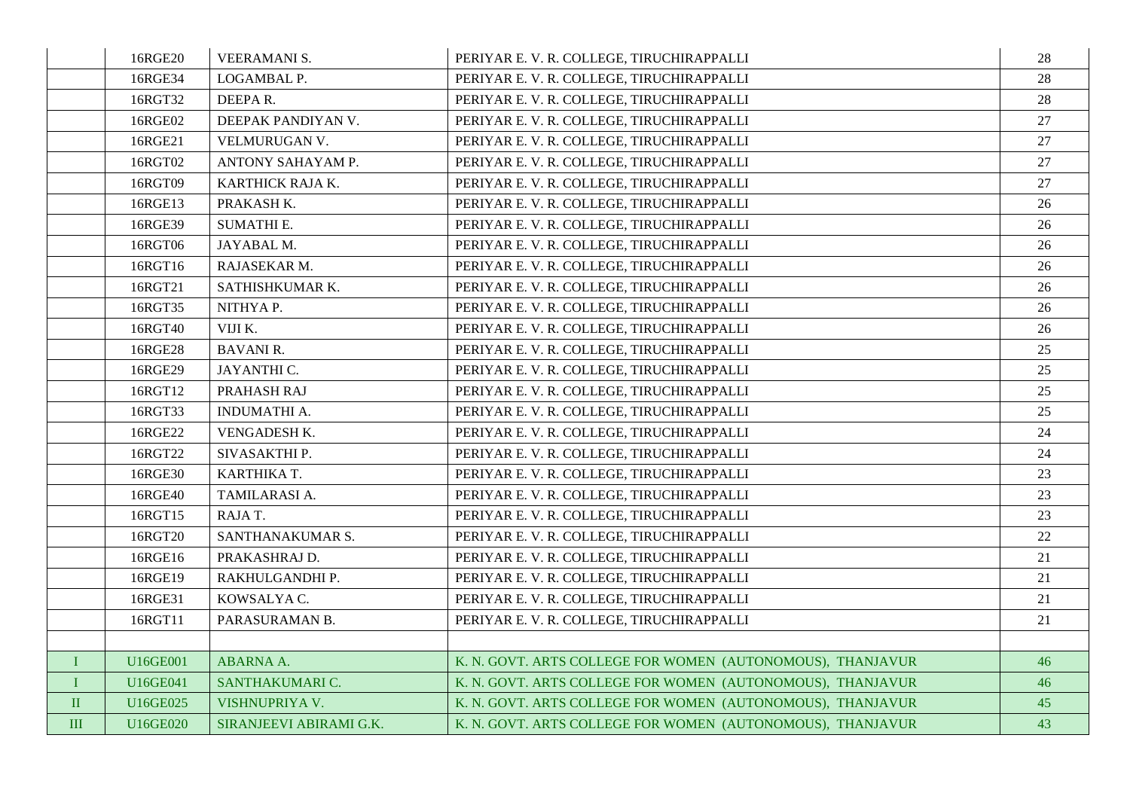|           | 16RGE20         | <b>VEERAMANI S.</b>     | PERIYAR E. V. R. COLLEGE, TIRUCHIRAPPALLI                  | 28 |
|-----------|-----------------|-------------------------|------------------------------------------------------------|----|
|           | 16RGE34         | LOGAMBAL P.             | PERIYAR E. V. R. COLLEGE, TIRUCHIRAPPALLI                  | 28 |
|           | 16RGT32         | DEEPAR.                 | PERIYAR E. V. R. COLLEGE, TIRUCHIRAPPALLI                  | 28 |
|           | 16RGE02         | DEEPAK PANDIYAN V.      | PERIYAR E. V. R. COLLEGE, TIRUCHIRAPPALLI                  | 27 |
|           | 16RGE21         | VELMURUGAN V.           | PERIYAR E. V. R. COLLEGE, TIRUCHIRAPPALLI                  | 27 |
|           | 16RGT02         | ANTONY SAHAYAM P.       | PERIYAR E. V. R. COLLEGE, TIRUCHIRAPPALLI                  | 27 |
|           | 16RGT09         | KARTHICK RAJA K.        | PERIYAR E. V. R. COLLEGE, TIRUCHIRAPPALLI                  | 27 |
|           | 16RGE13         | PRAKASH K.              | PERIYAR E. V. R. COLLEGE, TIRUCHIRAPPALLI                  | 26 |
|           | 16RGE39         | <b>SUMATHI E.</b>       | PERIYAR E.V. R. COLLEGE. TIRUCHIRAPPALLI                   | 26 |
|           | 16RGT06         | JAYABAL M.              | PERIYAR E. V. R. COLLEGE, TIRUCHIRAPPALLI                  | 26 |
|           | 16RGT16         | RAJASEKAR M.            | PERIYAR E. V. R. COLLEGE, TIRUCHIRAPPALLI                  | 26 |
|           | 16RGT21         | SATHISHKUMAR K.         | PERIYAR E. V. R. COLLEGE, TIRUCHIRAPPALLI                  | 26 |
|           | 16RGT35         | NITHYAP.                | PERIYAR E. V. R. COLLEGE, TIRUCHIRAPPALLI                  | 26 |
|           | 16RGT40         | VIJI K.                 | PERIYAR E.V. R. COLLEGE, TIRUCHIRAPPALLI                   | 26 |
|           | 16RGE28         | <b>BAVANI R.</b>        | PERIYAR E. V. R. COLLEGE, TIRUCHIRAPPALLI                  | 25 |
|           | 16RGE29         | JAYANTHI C.             | PERIYAR E. V. R. COLLEGE, TIRUCHIRAPPALLI                  | 25 |
|           | 16RGT12         | PRAHASH RAJ             | PERIYAR E. V. R. COLLEGE, TIRUCHIRAPPALLI                  | 25 |
|           | 16RGT33         | <b>INDUMATHI A.</b>     | PERIYAR E. V. R. COLLEGE, TIRUCHIRAPPALLI                  | 25 |
|           | 16RGE22         | VENGADESH K.            | PERIYAR E.V. R. COLLEGE, TIRUCHIRAPPALLI                   | 24 |
|           | 16RGT22         | SIVASAKTHI P.           | PERIYAR E.V. R. COLLEGE, TIRUCHIRAPPALLI                   | 24 |
|           | 16RGE30         | KARTHIKA T.             | PERIYAR E. V. R. COLLEGE, TIRUCHIRAPPALLI                  | 23 |
|           | 16RGE40         | TAMILARASI A.           | PERIYAR E.V. R. COLLEGE, TIRUCHIRAPPALLI                   | 23 |
|           | 16RGT15         | RAJA T.                 | PERIYAR E. V. R. COLLEGE, TIRUCHIRAPPALLI                  | 23 |
|           | 16RGT20         | SANTHANAKUMAR S.        | PERIYAR E. V. R. COLLEGE, TIRUCHIRAPPALLI                  | 22 |
|           | 16RGE16         | PRAKASHRAJ D.           | PERIYAR E. V. R. COLLEGE, TIRUCHIRAPPALLI                  | 21 |
|           | 16RGE19         | RAKHULGANDHI P.         | PERIYAR E.V. R. COLLEGE, TIRUCHIRAPPALLI                   | 21 |
|           | 16RGE31         | KOWSALYA C.             | PERIYAR E. V. R. COLLEGE, TIRUCHIRAPPALLI                  | 21 |
|           | 16RGT11         | PARASURAMAN B.          | PERIYAR E. V. R. COLLEGE, TIRUCHIRAPPALLI                  | 21 |
|           |                 |                         |                                                            |    |
| $\bf{I}$  | <b>U16GE001</b> | ABARNA A.               | K. N. GOVT. ARTS COLLEGE FOR WOMEN (AUTONOMOUS), THANJAVUR | 46 |
| $\bf{I}$  | U16GE041        | SANTHAKUMARI C.         | K. N. GOVT. ARTS COLLEGE FOR WOMEN (AUTONOMOUS), THANJAVUR | 46 |
| $\rm II$  | U16GE025        | <b>VISHNUPRIYA V.</b>   | K. N. GOVT. ARTS COLLEGE FOR WOMEN (AUTONOMOUS), THANJAVUR | 45 |
| $\rm III$ | U16GE020        | SIRANJEEVI ABIRAMI G.K. | K. N. GOVT. ARTS COLLEGE FOR WOMEN (AUTONOMOUS), THANJAVUR | 43 |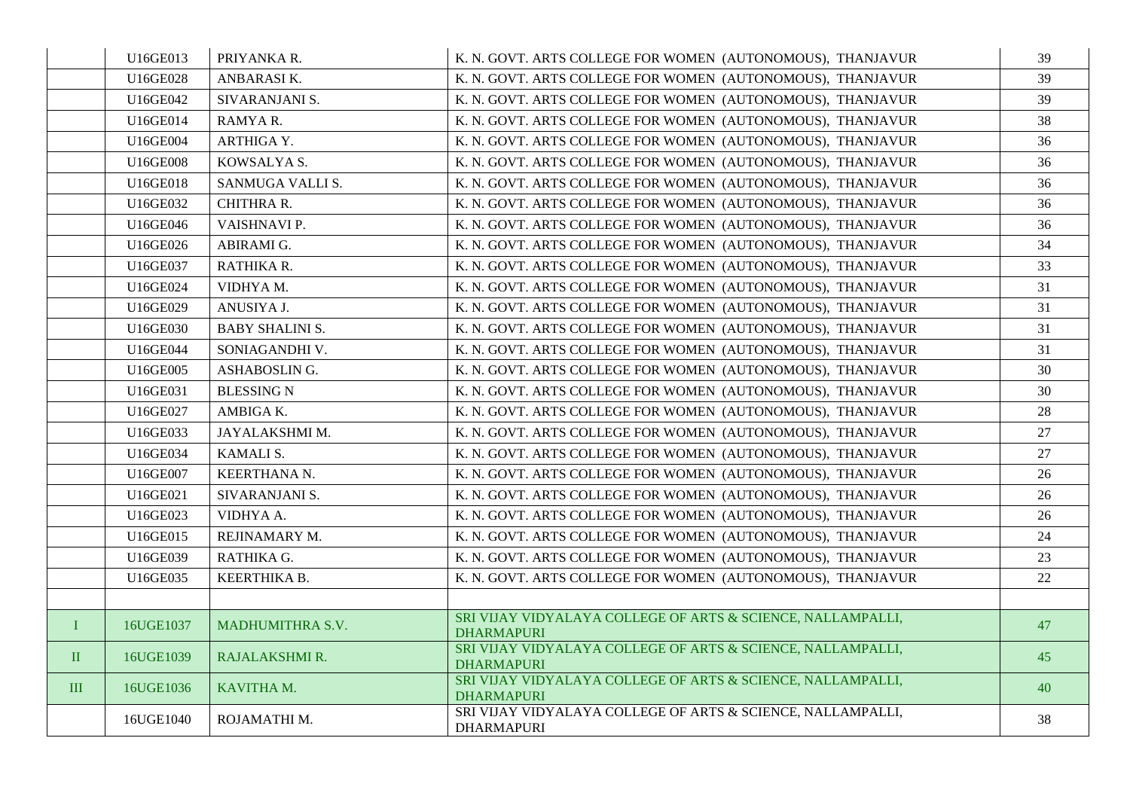|              | U16GE013  | PRIYANKA R.            | K. N. GOVT. ARTS COLLEGE FOR WOMEN (AUTONOMOUS), THANJAVUR                       | 39 |
|--------------|-----------|------------------------|----------------------------------------------------------------------------------|----|
|              | U16GE028  | ANBARASIK.             | K. N. GOVT. ARTS COLLEGE FOR WOMEN (AUTONOMOUS), THANJAVUR                       | 39 |
|              | U16GE042  | SIVARANJANI S.         | K. N. GOVT. ARTS COLLEGE FOR WOMEN (AUTONOMOUS), THANJAVUR                       | 39 |
|              | U16GE014  | RAMYAR.                | K. N. GOVT. ARTS COLLEGE FOR WOMEN (AUTONOMOUS), THANJAVUR                       | 38 |
|              | U16GE004  | ARTHIGA Y.             | K. N. GOVT. ARTS COLLEGE FOR WOMEN (AUTONOMOUS), THANJAVUR                       | 36 |
|              | U16GE008  | KOWSALYA S.            | K. N. GOVT. ARTS COLLEGE FOR WOMEN (AUTONOMOUS), THANJAVUR                       | 36 |
|              | U16GE018  | SANMUGA VALLI S.       | K. N. GOVT. ARTS COLLEGE FOR WOMEN (AUTONOMOUS), THANJAVUR                       | 36 |
|              | U16GE032  | <b>CHITHRA R.</b>      | K. N. GOVT. ARTS COLLEGE FOR WOMEN (AUTONOMOUS), THANJAVUR                       | 36 |
|              | U16GE046  | VAISHNAVI P.           | K. N. GOVT. ARTS COLLEGE FOR WOMEN (AUTONOMOUS). THANJAVUR                       | 36 |
|              | U16GE026  | ABIRAMI G.             | K. N. GOVT. ARTS COLLEGE FOR WOMEN (AUTONOMOUS), THANJAVUR                       | 34 |
|              | U16GE037  | RATHIKA R.             | K. N. GOVT. ARTS COLLEGE FOR WOMEN (AUTONOMOUS), THANJAVUR                       | 33 |
|              | U16GE024  | VIDHYA M.              | K. N. GOVT. ARTS COLLEGE FOR WOMEN (AUTONOMOUS), THANJAVUR                       | 31 |
|              | U16GE029  | ANUSIYA J.             | K. N. GOVT. ARTS COLLEGE FOR WOMEN (AUTONOMOUS), THANJAVUR                       | 31 |
|              | U16GE030  | <b>BABY SHALINI S.</b> | K. N. GOVT. ARTS COLLEGE FOR WOMEN (AUTONOMOUS), THANJAVUR                       | 31 |
|              | U16GE044  | SONIAGANDHI V.         | K. N. GOVT. ARTS COLLEGE FOR WOMEN (AUTONOMOUS), THANJAVUR                       | 31 |
|              | U16GE005  | ASHABOSLING.           | K. N. GOVT. ARTS COLLEGE FOR WOMEN (AUTONOMOUS), THANJAVUR                       | 30 |
|              | U16GE031  | <b>BLESSING N</b>      | K. N. GOVT. ARTS COLLEGE FOR WOMEN (AUTONOMOUS), THANJAVUR                       | 30 |
|              | U16GE027  | AMBIGA K.              | K. N. GOVT. ARTS COLLEGE FOR WOMEN (AUTONOMOUS), THANJAVUR                       | 28 |
|              | U16GE033  | JAYALAKSHMI M.         | K. N. GOVT. ARTS COLLEGE FOR WOMEN (AUTONOMOUS), THANJAVUR                       | 27 |
|              | U16GE034  | KAMALI S.              | K. N. GOVT. ARTS COLLEGE FOR WOMEN (AUTONOMOUS), THANJAVUR                       | 27 |
|              | U16GE007  | KEERTHANA N.           | K. N. GOVT. ARTS COLLEGE FOR WOMEN (AUTONOMOUS), THANJAVUR                       | 26 |
|              | U16GE021  | SIVARANJANI S.         | K. N. GOVT. ARTS COLLEGE FOR WOMEN (AUTONOMOUS), THANJAVUR                       | 26 |
|              | U16GE023  | VIDHYA A.              | K. N. GOVT. ARTS COLLEGE FOR WOMEN (AUTONOMOUS), THANJAVUR                       | 26 |
|              | U16GE015  | REJINAMARY M.          | K. N. GOVT. ARTS COLLEGE FOR WOMEN (AUTONOMOUS), THANJAVUR                       | 24 |
|              | U16GE039  | RATHIKA G.             | K. N. GOVT. ARTS COLLEGE FOR WOMEN (AUTONOMOUS), THANJAVUR                       | 23 |
|              | U16GE035  | KEERTHIKA B.           | K. N. GOVT. ARTS COLLEGE FOR WOMEN (AUTONOMOUS), THANJAVUR                       | 22 |
|              |           |                        |                                                                                  |    |
| $\mathbf{I}$ | 16UGE1037 | MADHUMITHRA S.V.       | SRI VIJAY VIDYALAYA COLLEGE OF ARTS & SCIENCE, NALLAMPALLI,<br><b>DHARMAPURI</b> | 47 |
| $\mathbf{I}$ | 16UGE1039 | RAJALAKSHMI R.         | SRI VIJAY VIDYALAYA COLLEGE OF ARTS & SCIENCE, NALLAMPALLI,<br>DHARMAPURI        | 45 |
| III          | 16UGE1036 | KAVITHA M.             | SRI VIJAY VIDYALAYA COLLEGE OF ARTS & SCIENCE, NALLAMPALLI,<br><b>DHARMAPURI</b> | 40 |
|              | 16UGE1040 | ROJAMATHI M.           | SRI VIJAY VIDYALAYA COLLEGE OF ARTS & SCIENCE, NALLAMPALLI,<br><b>DHARMAPURI</b> | 38 |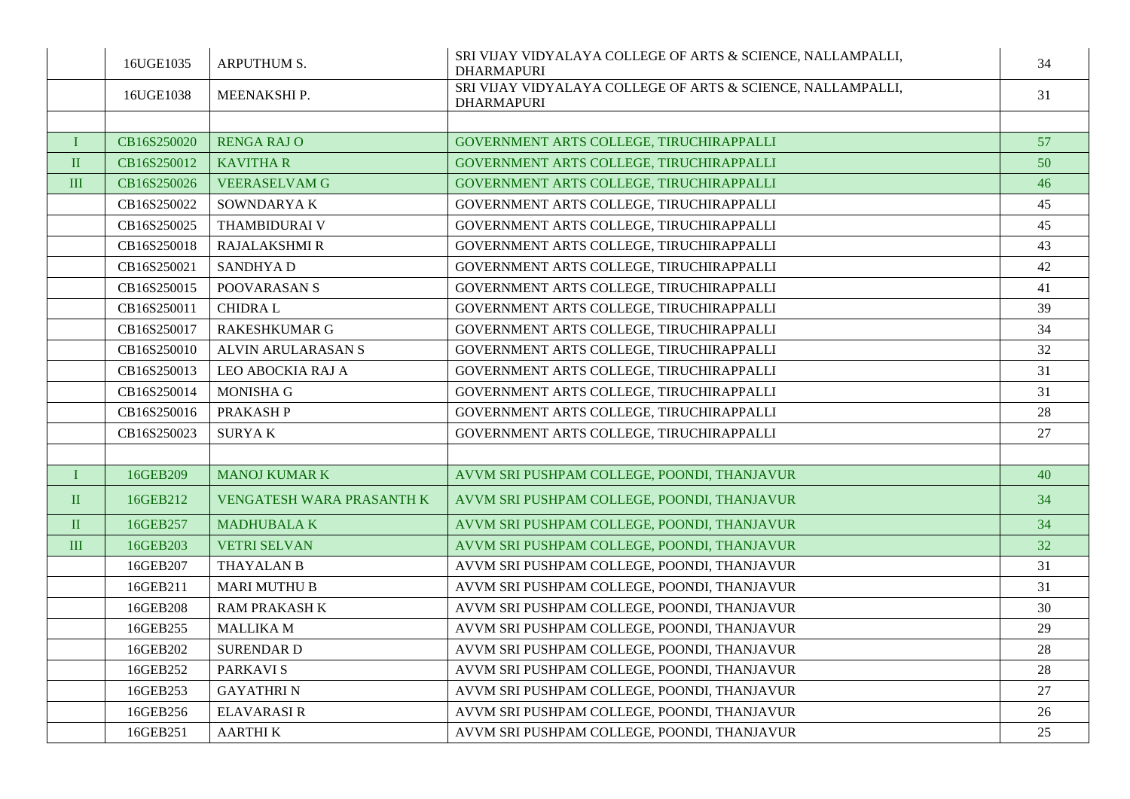|              | 16UGE1035   | <b>ARPUTHUM S.</b>        | SRI VIJAY VIDYALAYA COLLEGE OF ARTS & SCIENCE, NALLAMPALLI,<br><b>DHARMAPURI</b> | 34 |
|--------------|-------------|---------------------------|----------------------------------------------------------------------------------|----|
|              | 16UGE1038   | MEENAKSHI P.              | SRI VIJAY VIDYALAYA COLLEGE OF ARTS & SCIENCE, NALLAMPALLI,<br><b>DHARMAPURI</b> | 31 |
|              |             |                           |                                                                                  |    |
| T            | CB16S250020 | <b>RENGA RAJ O</b>        | GOVERNMENT ARTS COLLEGE, TIRUCHIRAPPALLI                                         | 57 |
| $\rm II$     | CB16S250012 | <b>KAVITHAR</b>           | GOVERNMENT ARTS COLLEGE, TIRUCHIRAPPALLI                                         | 50 |
| $\rm III$    | CB16S250026 | <b>VEERASELVAM G</b>      | GOVERNMENT ARTS COLLEGE, TIRUCHIRAPPALLI                                         | 46 |
|              | CB16S250022 | SOWNDARYAK                | GOVERNMENT ARTS COLLEGE, TIRUCHIRAPPALLI                                         | 45 |
|              | CB16S250025 | <b>THAMBIDURAI V</b>      | GOVERNMENT ARTS COLLEGE, TIRUCHIRAPPALLI                                         | 45 |
|              | CB16S250018 | <b>RAJALAKSHMI R</b>      | GOVERNMENT ARTS COLLEGE. TIRUCHIRAPPALLI                                         | 43 |
|              | CB16S250021 | <b>SANDHYAD</b>           | GOVERNMENT ARTS COLLEGE, TIRUCHIRAPPALLI                                         | 42 |
|              | CB16S250015 | POOVARASAN S              | GOVERNMENT ARTS COLLEGE, TIRUCHIRAPPALLI                                         | 41 |
|              | CB16S250011 | <b>CHIDRAL</b>            | GOVERNMENT ARTS COLLEGE, TIRUCHIRAPPALLI                                         | 39 |
|              | CB16S250017 | <b>RAKESHKUMAR G</b>      | GOVERNMENT ARTS COLLEGE, TIRUCHIRAPPALLI                                         | 34 |
|              | CB16S250010 | ALVIN ARULARASAN S        | GOVERNMENT ARTS COLLEGE, TIRUCHIRAPPALLI                                         | 32 |
|              | CB16S250013 | LEO ABOCKIA RAJ A         | GOVERNMENT ARTS COLLEGE, TIRUCHIRAPPALLI                                         | 31 |
|              | CB16S250014 | <b>MONISHA G</b>          | GOVERNMENT ARTS COLLEGE, TIRUCHIRAPPALLI                                         | 31 |
|              | CB16S250016 | PRAKASH P                 | GOVERNMENT ARTS COLLEGE, TIRUCHIRAPPALLI                                         | 28 |
|              | CB16S250023 | <b>SURYAK</b>             | GOVERNMENT ARTS COLLEGE, TIRUCHIRAPPALLI                                         | 27 |
|              |             |                           |                                                                                  |    |
| $\bf I$      | 16GEB209    | <b>MANOJ KUMAR K</b>      | AVVM SRI PUSHPAM COLLEGE, POONDI, THANJAVUR                                      | 40 |
| $\mathbf{I}$ | 16GEB212    | VENGATESH WARA PRASANTH K | AVVM SRI PUSHPAM COLLEGE, POONDI, THANJAVUR                                      | 34 |
| $\mathbf{I}$ | 16GEB257    | <b>MADHUBALAK</b>         | AVVM SRI PUSHPAM COLLEGE, POONDI, THANJAVUR                                      | 34 |
| $\rm III$    | 16GEB203    | <b>VETRI SELVAN</b>       | AVVM SRI PUSHPAM COLLEGE, POONDI, THANJAVUR                                      | 32 |
|              | 16GEB207    | <b>THAYALAN B</b>         | AVVM SRI PUSHPAM COLLEGE, POONDI, THANJAVUR                                      | 31 |
|              | 16GEB211    | <b>MARI MUTHU B</b>       | AVVM SRI PUSHPAM COLLEGE, POONDI, THANJAVUR                                      | 31 |
|              | 16GEB208    | <b>RAM PRAKASH K</b>      | AVVM SRI PUSHPAM COLLEGE, POONDI, THANJAVUR                                      | 30 |
|              | 16GEB255    | <b>MALLIKA M</b>          | AVVM SRI PUSHPAM COLLEGE, POONDI, THANJAVUR                                      | 29 |
|              | 16GEB202    | <b>SURENDARD</b>          | AVVM SRI PUSHPAM COLLEGE, POONDI, THANJAVUR                                      | 28 |
|              | 16GEB252    | <b>PARKAVIS</b>           | AVVM SRI PUSHPAM COLLEGE, POONDI, THANJAVUR                                      | 28 |
|              | 16GEB253    | <b>GAYATHRIN</b>          | AVVM SRI PUSHPAM COLLEGE, POONDI, THANJAVUR                                      | 27 |
|              | 16GEB256    | <b>ELAVARASIR</b>         | AVVM SRI PUSHPAM COLLEGE, POONDI, THANJAVUR                                      | 26 |
|              | 16GEB251    | <b>AARTHIK</b>            | AVVM SRI PUSHPAM COLLEGE, POONDI, THANJAVUR                                      | 25 |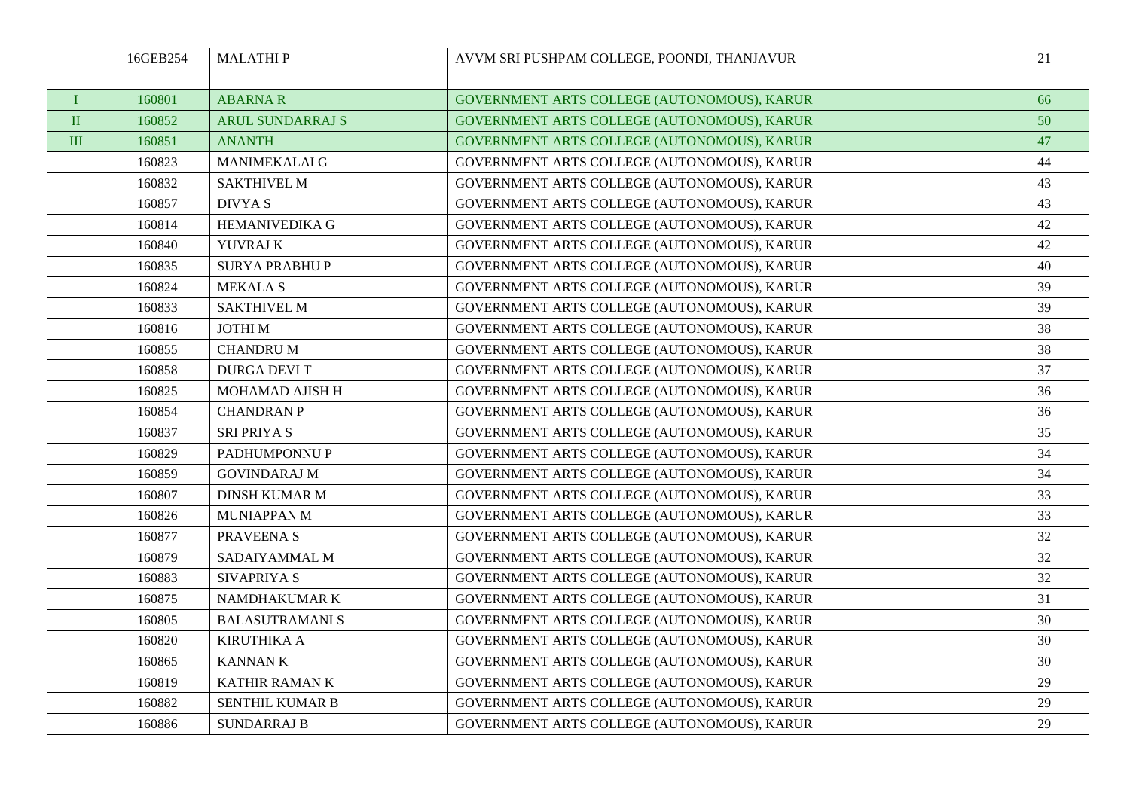|              | 16GEB254 | <b>MALATHIP</b>         | AVVM SRI PUSHPAM COLLEGE, POONDI, THANJAVUR | 21 |
|--------------|----------|-------------------------|---------------------------------------------|----|
|              |          |                         |                                             |    |
| $\mathbf{I}$ | 160801   | <b>ABARNAR</b>          | GOVERNMENT ARTS COLLEGE (AUTONOMOUS), KARUR | 66 |
| $\mathbf{I}$ | 160852   | <b>ARUL SUNDARRAJ S</b> | GOVERNMENT ARTS COLLEGE (AUTONOMOUS), KARUR | 50 |
| III          | 160851   | <b>ANANTH</b>           | GOVERNMENT ARTS COLLEGE (AUTONOMOUS), KARUR | 47 |
|              | 160823   | <b>MANIMEKALAI G</b>    | GOVERNMENT ARTS COLLEGE (AUTONOMOUS), KARUR | 44 |
|              | 160832   | <b>SAKTHIVEL M</b>      | GOVERNMENT ARTS COLLEGE (AUTONOMOUS), KARUR | 43 |
|              | 160857   | <b>DIVYAS</b>           | GOVERNMENT ARTS COLLEGE (AUTONOMOUS), KARUR | 43 |
|              | 160814   | <b>HEMANIVEDIKA G</b>   | GOVERNMENT ARTS COLLEGE (AUTONOMOUS), KARUR | 42 |
|              | 160840   | YUVRAJ K                | GOVERNMENT ARTS COLLEGE (AUTONOMOUS), KARUR | 42 |
|              | 160835   | <b>SURYA PRABHU P</b>   | GOVERNMENT ARTS COLLEGE (AUTONOMOUS), KARUR | 40 |
|              | 160824   | <b>MEKALA S</b>         | GOVERNMENT ARTS COLLEGE (AUTONOMOUS), KARUR | 39 |
|              | 160833   | <b>SAKTHIVEL M</b>      | GOVERNMENT ARTS COLLEGE (AUTONOMOUS), KARUR | 39 |
|              | 160816   | <b>JOTHIM</b>           | GOVERNMENT ARTS COLLEGE (AUTONOMOUS), KARUR | 38 |
|              | 160855   | <b>CHANDRU M</b>        | GOVERNMENT ARTS COLLEGE (AUTONOMOUS), KARUR | 38 |
|              | 160858   | <b>DURGA DEVIT</b>      | GOVERNMENT ARTS COLLEGE (AUTONOMOUS), KARUR | 37 |
|              | 160825   | MOHAMAD AJISH H         | GOVERNMENT ARTS COLLEGE (AUTONOMOUS), KARUR | 36 |
|              | 160854   | <b>CHANDRAN P</b>       | GOVERNMENT ARTS COLLEGE (AUTONOMOUS), KARUR | 36 |
|              | 160837   | SRI PRIYA S             | GOVERNMENT ARTS COLLEGE (AUTONOMOUS), KARUR | 35 |
|              | 160829   | PADHUMPONNU P           | GOVERNMENT ARTS COLLEGE (AUTONOMOUS), KARUR | 34 |
|              | 160859   | <b>GOVINDARAJ M</b>     | GOVERNMENT ARTS COLLEGE (AUTONOMOUS), KARUR | 34 |
|              | 160807   | <b>DINSH KUMAR M</b>    | GOVERNMENT ARTS COLLEGE (AUTONOMOUS), KARUR | 33 |
|              | 160826   | MUNIAPPAN M             | GOVERNMENT ARTS COLLEGE (AUTONOMOUS), KARUR | 33 |
|              | 160877   | PRAVEENA S              | GOVERNMENT ARTS COLLEGE (AUTONOMOUS), KARUR | 32 |
|              | 160879   | SADAIYAMMAL M           | GOVERNMENT ARTS COLLEGE (AUTONOMOUS), KARUR | 32 |
|              | 160883   | <b>SIVAPRIYA S</b>      | GOVERNMENT ARTS COLLEGE (AUTONOMOUS), KARUR | 32 |
|              | 160875   | NAMDHAKUMAR K           | GOVERNMENT ARTS COLLEGE (AUTONOMOUS), KARUR | 31 |
|              | 160805   | <b>BALASUTRAMANI S</b>  | GOVERNMENT ARTS COLLEGE (AUTONOMOUS), KARUR | 30 |
|              | 160820   | <b>KIRUTHIKA A</b>      | GOVERNMENT ARTS COLLEGE (AUTONOMOUS), KARUR | 30 |
|              | 160865   | <b>KANNANK</b>          | GOVERNMENT ARTS COLLEGE (AUTONOMOUS), KARUR | 30 |
|              | 160819   | <b>KATHIR RAMAN K</b>   | GOVERNMENT ARTS COLLEGE (AUTONOMOUS), KARUR | 29 |
|              | 160882   | <b>SENTHIL KUMAR B</b>  | GOVERNMENT ARTS COLLEGE (AUTONOMOUS), KARUR | 29 |
|              | 160886   | <b>SUNDARRAJ B</b>      | GOVERNMENT ARTS COLLEGE (AUTONOMOUS), KARUR | 29 |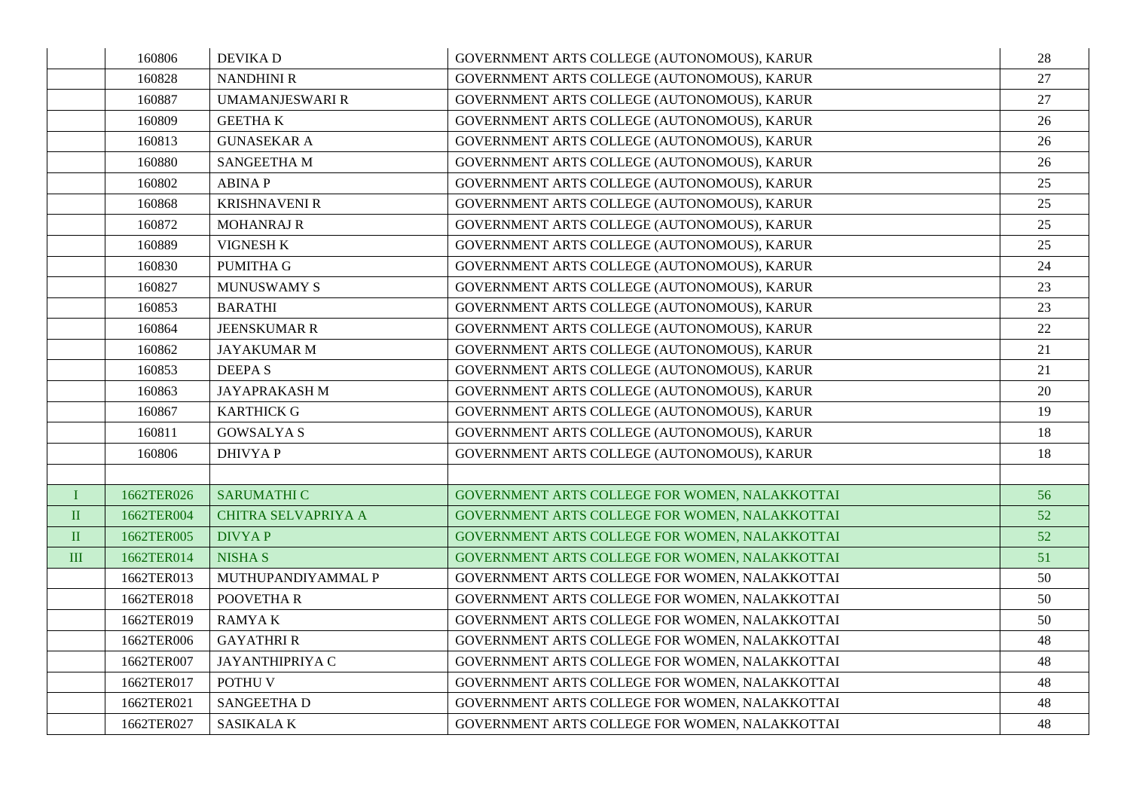|              | 160806     | <b>DEVIKAD</b>             | GOVERNMENT ARTS COLLEGE (AUTONOMOUS), KARUR    | 28 |
|--------------|------------|----------------------------|------------------------------------------------|----|
|              | 160828     | <b>NANDHINI R</b>          | GOVERNMENT ARTS COLLEGE (AUTONOMOUS), KARUR    | 27 |
|              | 160887     | <b>UMAMANJESWARI R</b>     | GOVERNMENT ARTS COLLEGE (AUTONOMOUS), KARUR    | 27 |
|              | 160809     | <b>GEETHAK</b>             | GOVERNMENT ARTS COLLEGE (AUTONOMOUS), KARUR    | 26 |
|              | 160813     | <b>GUNASEKAR A</b>         | GOVERNMENT ARTS COLLEGE (AUTONOMOUS), KARUR    | 26 |
|              | 160880     | <b>SANGEETHAM</b>          | GOVERNMENT ARTS COLLEGE (AUTONOMOUS), KARUR    | 26 |
|              | 160802     | <b>ABINAP</b>              | GOVERNMENT ARTS COLLEGE (AUTONOMOUS), KARUR    | 25 |
|              | 160868     | <b>KRISHNAVENI R</b>       | GOVERNMENT ARTS COLLEGE (AUTONOMOUS), KARUR    | 25 |
|              | 160872     | <b>MOHANRAJ R</b>          | GOVERNMENT ARTS COLLEGE (AUTONOMOUS), KARUR    | 25 |
|              | 160889     | VIGNESH K                  | GOVERNMENT ARTS COLLEGE (AUTONOMOUS), KARUR    | 25 |
|              | 160830     | <b>PUMITHA G</b>           | GOVERNMENT ARTS COLLEGE (AUTONOMOUS), KARUR    | 24 |
|              | 160827     | <b>MUNUSWAMY S</b>         | GOVERNMENT ARTS COLLEGE (AUTONOMOUS), KARUR    | 23 |
|              | 160853     | <b>BARATHI</b>             | GOVERNMENT ARTS COLLEGE (AUTONOMOUS), KARUR    | 23 |
|              | 160864     | <b>JEENSKUMAR R</b>        | GOVERNMENT ARTS COLLEGE (AUTONOMOUS), KARUR    | 22 |
|              | 160862     | <b>JAYAKUMAR M</b>         | GOVERNMENT ARTS COLLEGE (AUTONOMOUS), KARUR    | 21 |
|              | 160853     | <b>DEEPAS</b>              | GOVERNMENT ARTS COLLEGE (AUTONOMOUS), KARUR    | 21 |
|              | 160863     | <b>JAYAPRAKASHM</b>        | GOVERNMENT ARTS COLLEGE (AUTONOMOUS), KARUR    | 20 |
|              | 160867     | <b>KARTHICK G</b>          | GOVERNMENT ARTS COLLEGE (AUTONOMOUS), KARUR    | 19 |
|              | 160811     | <b>GOWSALYAS</b>           | GOVERNMENT ARTS COLLEGE (AUTONOMOUS), KARUR    | 18 |
|              | 160806     | <b>DHIVYAP</b>             | GOVERNMENT ARTS COLLEGE (AUTONOMOUS), KARUR    | 18 |
|              |            |                            |                                                |    |
| $\mathbf{I}$ | 1662TER026 | <b>SARUMATHI C</b>         | GOVERNMENT ARTS COLLEGE FOR WOMEN, NALAKKOTTAI | 56 |
| $\mathbf{I}$ | 1662TER004 | <b>CHITRA SELVAPRIYA A</b> | GOVERNMENT ARTS COLLEGE FOR WOMEN, NALAKKOTTAI | 52 |
| $\rm II$     | 1662TER005 | <b>DIVYAP</b>              | GOVERNMENT ARTS COLLEGE FOR WOMEN, NALAKKOTTAI | 52 |
| III          | 1662TER014 | <b>NISHA S</b>             | GOVERNMENT ARTS COLLEGE FOR WOMEN, NALAKKOTTAI | 51 |
|              | 1662TER013 | MUTHUPANDIYAMMAL P         | GOVERNMENT ARTS COLLEGE FOR WOMEN, NALAKKOTTAI | 50 |
|              | 1662TER018 | POOVETHA R                 | GOVERNMENT ARTS COLLEGE FOR WOMEN, NALAKKOTTAI | 50 |
|              | 1662TER019 | <b>RAMYAK</b>              | GOVERNMENT ARTS COLLEGE FOR WOMEN, NALAKKOTTAI | 50 |
|              | 1662TER006 | <b>GAYATHRI R</b>          | GOVERNMENT ARTS COLLEGE FOR WOMEN, NALAKKOTTAI | 48 |
|              | 1662TER007 | JAYANTHIPRIYA C            | GOVERNMENT ARTS COLLEGE FOR WOMEN, NALAKKOTTAI | 48 |
|              | 1662TER017 | POTHU V                    | GOVERNMENT ARTS COLLEGE FOR WOMEN, NALAKKOTTAI | 48 |
|              | 1662TER021 | SANGEETHA D                | GOVERNMENT ARTS COLLEGE FOR WOMEN, NALAKKOTTAI | 48 |
|              | 1662TER027 | <b>SASIKALAK</b>           | GOVERNMENT ARTS COLLEGE FOR WOMEN, NALAKKOTTAI | 48 |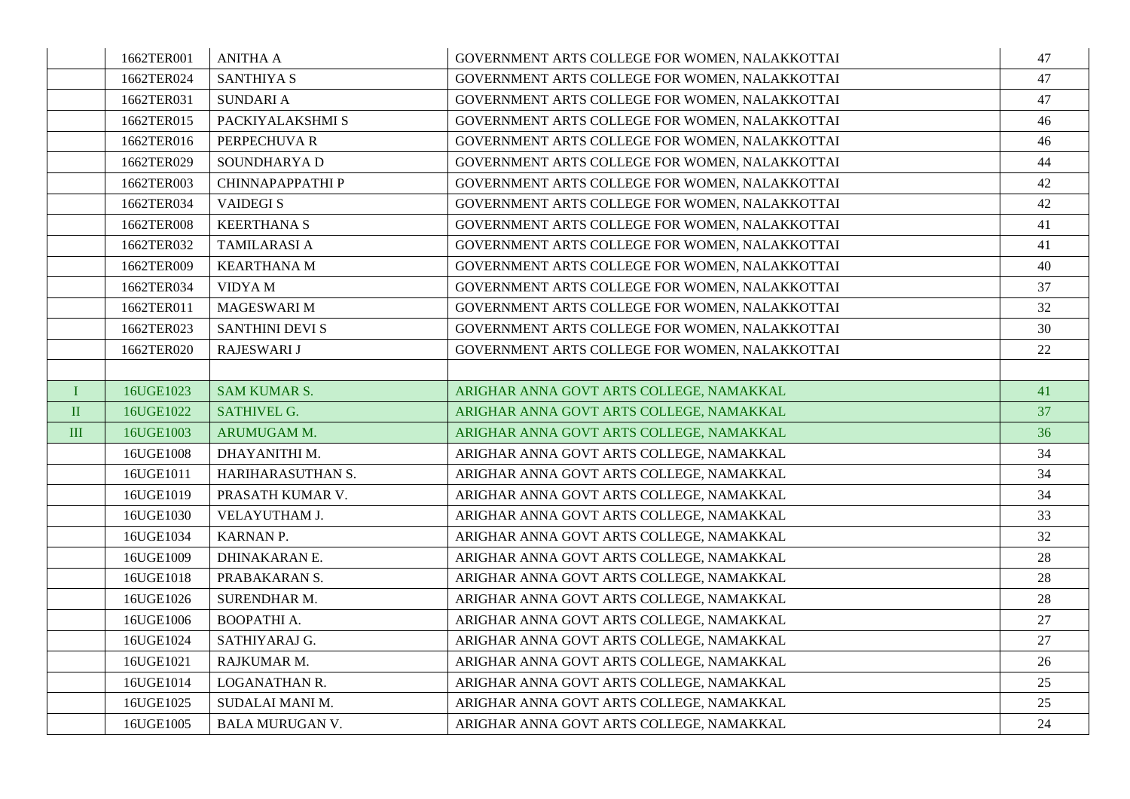|              | 1662TER001 | <b>ANITHA A</b>        | GOVERNMENT ARTS COLLEGE FOR WOMEN, NALAKKOTTAI | 47 |
|--------------|------------|------------------------|------------------------------------------------|----|
|              | 1662TER024 | <b>SANTHIYA S</b>      | GOVERNMENT ARTS COLLEGE FOR WOMEN, NALAKKOTTAI | 47 |
|              | 1662TER031 | <b>SUNDARIA</b>        | GOVERNMENT ARTS COLLEGE FOR WOMEN, NALAKKOTTAI | 47 |
|              | 1662TER015 | PACKIYALAKSHMI S       | GOVERNMENT ARTS COLLEGE FOR WOMEN, NALAKKOTTAI | 46 |
|              | 1662TER016 | PERPECHUVA R           | GOVERNMENT ARTS COLLEGE FOR WOMEN, NALAKKOTTAI | 46 |
|              | 1662TER029 | SOUNDHARYA D           | GOVERNMENT ARTS COLLEGE FOR WOMEN, NALAKKOTTAI | 44 |
|              | 1662TER003 | CHINNAPAPPATHI P       | GOVERNMENT ARTS COLLEGE FOR WOMEN, NALAKKOTTAI | 42 |
|              | 1662TER034 | <b>VAIDEGIS</b>        | GOVERNMENT ARTS COLLEGE FOR WOMEN, NALAKKOTTAI | 42 |
|              | 1662TER008 | <b>KEERTHANA S</b>     | GOVERNMENT ARTS COLLEGE FOR WOMEN, NALAKKOTTAI | 41 |
|              | 1662TER032 | <b>TAMILARASI A</b>    | GOVERNMENT ARTS COLLEGE FOR WOMEN, NALAKKOTTAI | 41 |
|              | 1662TER009 | <b>KEARTHANA M</b>     | GOVERNMENT ARTS COLLEGE FOR WOMEN, NALAKKOTTAI | 40 |
|              | 1662TER034 | VIDYA M                | GOVERNMENT ARTS COLLEGE FOR WOMEN, NALAKKOTTAI | 37 |
|              | 1662TER011 | MAGESWARI M            | GOVERNMENT ARTS COLLEGE FOR WOMEN, NALAKKOTTAI | 32 |
|              | 1662TER023 | <b>SANTHINI DEVI S</b> | GOVERNMENT ARTS COLLEGE FOR WOMEN, NALAKKOTTAI | 30 |
|              | 1662TER020 | <b>RAJESWARI J</b>     | GOVERNMENT ARTS COLLEGE FOR WOMEN, NALAKKOTTAI | 22 |
|              |            |                        |                                                |    |
| I            | 16UGE1023  | <b>SAM KUMAR S.</b>    | ARIGHAR ANNA GOVT ARTS COLLEGE, NAMAKKAL       | 41 |
| $\mathbf{I}$ | 16UGE1022  | <b>SATHIVEL G.</b>     | ARIGHAR ANNA GOVT ARTS COLLEGE, NAMAKKAL       | 37 |
| III          | 16UGE1003  | ARUMUGAM M.            | ARIGHAR ANNA GOVT ARTS COLLEGE, NAMAKKAL       | 36 |
|              | 16UGE1008  | DHAYANITHI M.          | ARIGHAR ANNA GOVT ARTS COLLEGE, NAMAKKAL       | 34 |
|              | 16UGE1011  | HARIHARASUTHAN S.      | ARIGHAR ANNA GOVT ARTS COLLEGE, NAMAKKAL       | 34 |
|              | 16UGE1019  | PRASATH KUMAR V.       | ARIGHAR ANNA GOVT ARTS COLLEGE, NAMAKKAL       | 34 |
|              | 16UGE1030  | VELAYUTHAM J.          | ARIGHAR ANNA GOVT ARTS COLLEGE, NAMAKKAL       | 33 |
|              | 16UGE1034  | <b>KARNAN P.</b>       | ARIGHAR ANNA GOVT ARTS COLLEGE, NAMAKKAL       | 32 |
|              | 16UGE1009  | DHINAKARAN E.          | ARIGHAR ANNA GOVT ARTS COLLEGE, NAMAKKAL       | 28 |
|              | 16UGE1018  | PRABAKARAN S.          | ARIGHAR ANNA GOVT ARTS COLLEGE, NAMAKKAL       | 28 |
|              | 16UGE1026  | <b>SURENDHAR M.</b>    | ARIGHAR ANNA GOVT ARTS COLLEGE, NAMAKKAL       | 28 |
|              | 16UGE1006  | <b>BOOPATHI A.</b>     | ARIGHAR ANNA GOVT ARTS COLLEGE, NAMAKKAL       | 27 |
|              | 16UGE1024  | SATHIYARAJ G.          | ARIGHAR ANNA GOVT ARTS COLLEGE, NAMAKKAL       | 27 |
|              | 16UGE1021  | RAJKUMAR M.            | ARIGHAR ANNA GOVT ARTS COLLEGE, NAMAKKAL       | 26 |
|              | 16UGE1014  | LOGANATHAN R.          | ARIGHAR ANNA GOVT ARTS COLLEGE, NAMAKKAL       | 25 |
|              | 16UGE1025  | SUDALAI MANI M.        | ARIGHAR ANNA GOVT ARTS COLLEGE, NAMAKKAL       | 25 |
|              | 16UGE1005  | <b>BALA MURUGAN V.</b> | ARIGHAR ANNA GOVT ARTS COLLEGE, NAMAKKAL       | 24 |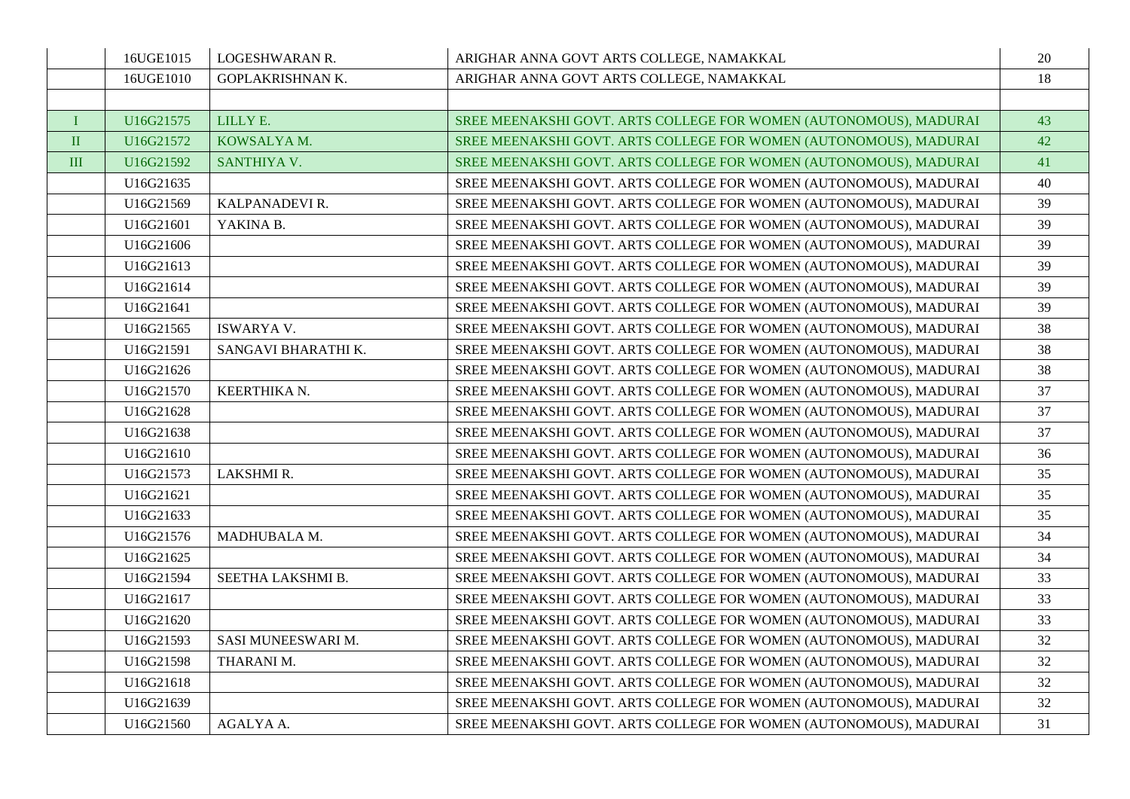|              | 16UGE1015 | LOGESHWARAN R.      | ARIGHAR ANNA GOVT ARTS COLLEGE, NAMAKKAL                          | 20 |
|--------------|-----------|---------------------|-------------------------------------------------------------------|----|
|              | 16UGE1010 | GOPLAKRISHNAN K.    | ARIGHAR ANNA GOVT ARTS COLLEGE, NAMAKKAL                          | 18 |
|              |           |                     |                                                                   |    |
| I            | U16G21575 | LILLY E.            | SREE MEENAKSHI GOVT. ARTS COLLEGE FOR WOMEN (AUTONOMOUS), MADURAI | 43 |
| $\mathbf{I}$ | U16G21572 | KOWSALYA M.         | SREE MEENAKSHI GOVT. ARTS COLLEGE FOR WOMEN (AUTONOMOUS), MADURAI | 42 |
| III          | U16G21592 | SANTHIYA V.         | SREE MEENAKSHI GOVT. ARTS COLLEGE FOR WOMEN (AUTONOMOUS), MADURAI | 41 |
|              | U16G21635 |                     | SREE MEENAKSHI GOVT. ARTS COLLEGE FOR WOMEN (AUTONOMOUS), MADURAI | 40 |
|              | U16G21569 | KALPANADEVI R.      | SREE MEENAKSHI GOVT. ARTS COLLEGE FOR WOMEN (AUTONOMOUS), MADURAI | 39 |
|              | U16G21601 | YAKINA B.           | SREE MEENAKSHI GOVT. ARTS COLLEGE FOR WOMEN (AUTONOMOUS), MADURAI | 39 |
|              | U16G21606 |                     | SREE MEENAKSHI GOVT. ARTS COLLEGE FOR WOMEN (AUTONOMOUS), MADURAI | 39 |
|              | U16G21613 |                     | SREE MEENAKSHI GOVT. ARTS COLLEGE FOR WOMEN (AUTONOMOUS), MADURAI | 39 |
|              | U16G21614 |                     | SREE MEENAKSHI GOVT. ARTS COLLEGE FOR WOMEN (AUTONOMOUS), MADURAI | 39 |
|              | U16G21641 |                     | SREE MEENAKSHI GOVT. ARTS COLLEGE FOR WOMEN (AUTONOMOUS), MADURAI | 39 |
|              | U16G21565 | <b>ISWARYA V.</b>   | SREE MEENAKSHI GOVT. ARTS COLLEGE FOR WOMEN (AUTONOMOUS), MADURAI | 38 |
|              | U16G21591 | SANGAVI BHARATHI K. | SREE MEENAKSHI GOVT. ARTS COLLEGE FOR WOMEN (AUTONOMOUS), MADURAI | 38 |
|              | U16G21626 |                     | SREE MEENAKSHI GOVT. ARTS COLLEGE FOR WOMEN (AUTONOMOUS), MADURAI | 38 |
|              | U16G21570 | KEERTHIKA N.        | SREE MEENAKSHI GOVT. ARTS COLLEGE FOR WOMEN (AUTONOMOUS), MADURAI | 37 |
|              | U16G21628 |                     | SREE MEENAKSHI GOVT. ARTS COLLEGE FOR WOMEN (AUTONOMOUS), MADURAI | 37 |
|              | U16G21638 |                     | SREE MEENAKSHI GOVT. ARTS COLLEGE FOR WOMEN (AUTONOMOUS), MADURAI | 37 |
|              | U16G21610 |                     | SREE MEENAKSHI GOVT. ARTS COLLEGE FOR WOMEN (AUTONOMOUS), MADURAI | 36 |
|              | U16G21573 | LAKSHMI R.          | SREE MEENAKSHI GOVT. ARTS COLLEGE FOR WOMEN (AUTONOMOUS), MADURAI | 35 |
|              | U16G21621 |                     | SREE MEENAKSHI GOVT. ARTS COLLEGE FOR WOMEN (AUTONOMOUS), MADURAI | 35 |
|              | U16G21633 |                     | SREE MEENAKSHI GOVT. ARTS COLLEGE FOR WOMEN (AUTONOMOUS), MADURAI | 35 |
|              | U16G21576 | MADHUBALA M.        | SREE MEENAKSHI GOVT. ARTS COLLEGE FOR WOMEN (AUTONOMOUS), MADURAI | 34 |
|              | U16G21625 |                     | SREE MEENAKSHI GOVT. ARTS COLLEGE FOR WOMEN (AUTONOMOUS), MADURAI | 34 |
|              | U16G21594 | SEETHA LAKSHMI B.   | SREE MEENAKSHI GOVT. ARTS COLLEGE FOR WOMEN (AUTONOMOUS), MADURAI | 33 |
|              | U16G21617 |                     | SREE MEENAKSHI GOVT. ARTS COLLEGE FOR WOMEN (AUTONOMOUS), MADURAI | 33 |
|              | U16G21620 |                     | SREE MEENAKSHI GOVT. ARTS COLLEGE FOR WOMEN (AUTONOMOUS), MADURAI | 33 |
|              | U16G21593 | SASI MUNEESWARI M.  | SREE MEENAKSHI GOVT. ARTS COLLEGE FOR WOMEN (AUTONOMOUS), MADURAI | 32 |
|              | U16G21598 | THARANI M.          | SREE MEENAKSHI GOVT. ARTS COLLEGE FOR WOMEN (AUTONOMOUS), MADURAI | 32 |
|              | U16G21618 |                     | SREE MEENAKSHI GOVT. ARTS COLLEGE FOR WOMEN (AUTONOMOUS), MADURAI | 32 |
|              | U16G21639 |                     | SREE MEENAKSHI GOVT. ARTS COLLEGE FOR WOMEN (AUTONOMOUS), MADURAI | 32 |
|              | U16G21560 | AGALYA A.           | SREE MEENAKSHI GOVT. ARTS COLLEGE FOR WOMEN (AUTONOMOUS), MADURAI | 31 |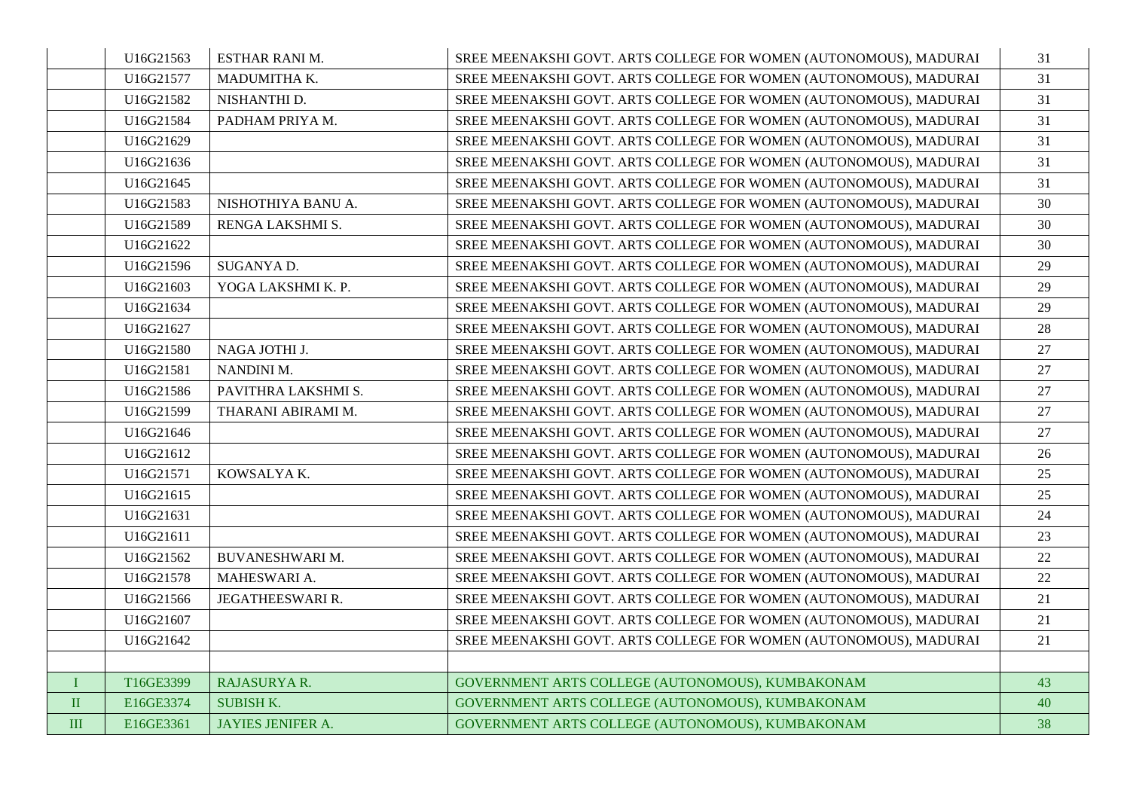|              | U16G21563 | ESTHAR RANI M.           | SREE MEENAKSHI GOVT. ARTS COLLEGE FOR WOMEN (AUTONOMOUS), MADURAI | 31 |
|--------------|-----------|--------------------------|-------------------------------------------------------------------|----|
|              | U16G21577 | MADUMITHA K.             | SREE MEENAKSHI GOVT. ARTS COLLEGE FOR WOMEN (AUTONOMOUS), MADURAI | 31 |
|              | U16G21582 | NISHANTHI D.             | SREE MEENAKSHI GOVT. ARTS COLLEGE FOR WOMEN (AUTONOMOUS), MADURAI | 31 |
|              | U16G21584 | PADHAM PRIYA M.          | SREE MEENAKSHI GOVT. ARTS COLLEGE FOR WOMEN (AUTONOMOUS), MADURAI | 31 |
|              | U16G21629 |                          | SREE MEENAKSHI GOVT. ARTS COLLEGE FOR WOMEN (AUTONOMOUS), MADURAI | 31 |
|              | U16G21636 |                          | SREE MEENAKSHI GOVT. ARTS COLLEGE FOR WOMEN (AUTONOMOUS), MADURAI | 31 |
|              | U16G21645 |                          | SREE MEENAKSHI GOVT. ARTS COLLEGE FOR WOMEN (AUTONOMOUS), MADURAI | 31 |
|              | U16G21583 | NISHOTHIYA BANU A.       | SREE MEENAKSHI GOVT. ARTS COLLEGE FOR WOMEN (AUTONOMOUS), MADURAI | 30 |
|              | U16G21589 | RENGA LAKSHMI S.         | SREE MEENAKSHI GOVT. ARTS COLLEGE FOR WOMEN (AUTONOMOUS), MADURAI | 30 |
|              | U16G21622 |                          | SREE MEENAKSHI GOVT. ARTS COLLEGE FOR WOMEN (AUTONOMOUS), MADURAI | 30 |
|              | U16G21596 | SUGANYA D.               | SREE MEENAKSHI GOVT. ARTS COLLEGE FOR WOMEN (AUTONOMOUS), MADURAI | 29 |
|              | U16G21603 | YOGA LAKSHMI K. P.       | SREE MEENAKSHI GOVT. ARTS COLLEGE FOR WOMEN (AUTONOMOUS), MADURAI | 29 |
|              | U16G21634 |                          | SREE MEENAKSHI GOVT. ARTS COLLEGE FOR WOMEN (AUTONOMOUS), MADURAI | 29 |
|              | U16G21627 |                          | SREE MEENAKSHI GOVT. ARTS COLLEGE FOR WOMEN (AUTONOMOUS), MADURAI | 28 |
|              | U16G21580 | NAGA JOTHI J.            | SREE MEENAKSHI GOVT. ARTS COLLEGE FOR WOMEN (AUTONOMOUS), MADURAI | 27 |
|              | U16G21581 | NANDINI M.               | SREE MEENAKSHI GOVT. ARTS COLLEGE FOR WOMEN (AUTONOMOUS), MADURAI | 27 |
|              | U16G21586 | PAVITHRA LAKSHMI S.      | SREE MEENAKSHI GOVT. ARTS COLLEGE FOR WOMEN (AUTONOMOUS), MADURAI | 27 |
|              | U16G21599 | THARANI ABIRAMI M.       | SREE MEENAKSHI GOVT. ARTS COLLEGE FOR WOMEN (AUTONOMOUS), MADURAI | 27 |
|              | U16G21646 |                          | SREE MEENAKSHI GOVT. ARTS COLLEGE FOR WOMEN (AUTONOMOUS), MADURAI | 27 |
|              | U16G21612 |                          | SREE MEENAKSHI GOVT. ARTS COLLEGE FOR WOMEN (AUTONOMOUS), MADURAI | 26 |
|              | U16G21571 | KOWSALYA K.              | SREE MEENAKSHI GOVT. ARTS COLLEGE FOR WOMEN (AUTONOMOUS), MADURAI | 25 |
|              | U16G21615 |                          | SREE MEENAKSHI GOVT. ARTS COLLEGE FOR WOMEN (AUTONOMOUS), MADURAI | 25 |
|              | U16G21631 |                          | SREE MEENAKSHI GOVT. ARTS COLLEGE FOR WOMEN (AUTONOMOUS), MADURAI | 24 |
|              | U16G21611 |                          | SREE MEENAKSHI GOVT. ARTS COLLEGE FOR WOMEN (AUTONOMOUS), MADURAI | 23 |
|              | U16G21562 | <b>BUVANESHWARI M.</b>   | SREE MEENAKSHI GOVT. ARTS COLLEGE FOR WOMEN (AUTONOMOUS), MADURAI | 22 |
|              | U16G21578 | MAHESWARI A.             | SREE MEENAKSHI GOVT. ARTS COLLEGE FOR WOMEN (AUTONOMOUS), MADURAI | 22 |
|              | U16G21566 | JEGATHEESWARI R.         | SREE MEENAKSHI GOVT. ARTS COLLEGE FOR WOMEN (AUTONOMOUS), MADURAI | 21 |
|              | U16G21607 |                          | SREE MEENAKSHI GOVT. ARTS COLLEGE FOR WOMEN (AUTONOMOUS), MADURAI | 21 |
|              | U16G21642 |                          | SREE MEENAKSHI GOVT. ARTS COLLEGE FOR WOMEN (AUTONOMOUS), MADURAI | 21 |
|              |           |                          |                                                                   |    |
| $\mathbf{I}$ | T16GE3399 | RAJASURYA R.             | GOVERNMENT ARTS COLLEGE (AUTONOMOUS), KUMBAKONAM                  | 43 |
| $\rm II$     | E16GE3374 | <b>SUBISH K.</b>         | GOVERNMENT ARTS COLLEGE (AUTONOMOUS), KUMBAKONAM                  | 40 |
| III          | E16GE3361 | <b>JAYIES JENIFER A.</b> | GOVERNMENT ARTS COLLEGE (AUTONOMOUS), KUMBAKONAM                  | 38 |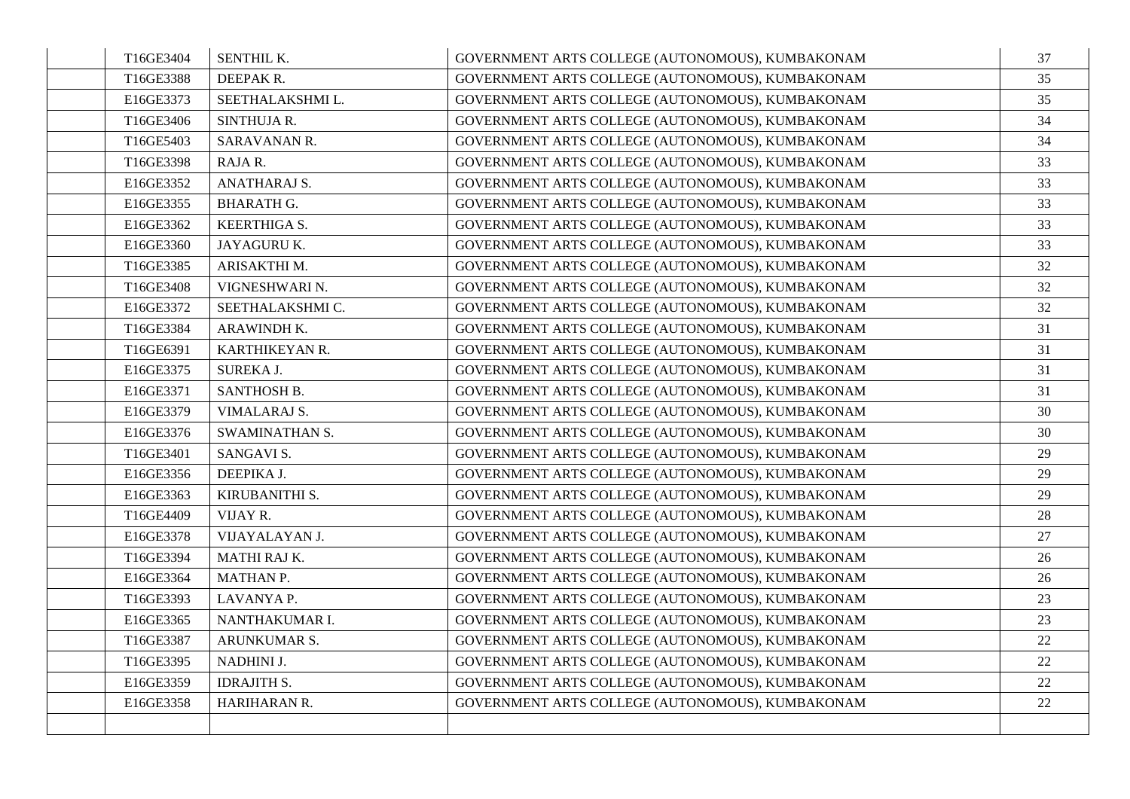| T16GE3404 | SENTHIL K.            | GOVERNMENT ARTS COLLEGE (AUTONOMOUS), KUMBAKONAM | 37 |
|-----------|-----------------------|--------------------------------------------------|----|
| T16GE3388 | DEEPAK R.             | GOVERNMENT ARTS COLLEGE (AUTONOMOUS), KUMBAKONAM | 35 |
| E16GE3373 | SEETHALAKSHMI L.      | GOVERNMENT ARTS COLLEGE (AUTONOMOUS), KUMBAKONAM | 35 |
| T16GE3406 | <b>SINTHUJA R.</b>    | GOVERNMENT ARTS COLLEGE (AUTONOMOUS), KUMBAKONAM | 34 |
| T16GE5403 | SARAVANAN R.          | GOVERNMENT ARTS COLLEGE (AUTONOMOUS), KUMBAKONAM | 34 |
| T16GE3398 | RAJA R.               | GOVERNMENT ARTS COLLEGE (AUTONOMOUS), KUMBAKONAM | 33 |
| E16GE3352 | ANATHARAJ S.          | GOVERNMENT ARTS COLLEGE (AUTONOMOUS), KUMBAKONAM | 33 |
| E16GE3355 | <b>BHARATH G.</b>     | GOVERNMENT ARTS COLLEGE (AUTONOMOUS), KUMBAKONAM | 33 |
| E16GE3362 | <b>KEERTHIGA S.</b>   | GOVERNMENT ARTS COLLEGE (AUTONOMOUS), KUMBAKONAM | 33 |
| E16GE3360 | JAYAGURU K.           | GOVERNMENT ARTS COLLEGE (AUTONOMOUS), KUMBAKONAM | 33 |
| T16GE3385 | ARISAKTHI M.          | GOVERNMENT ARTS COLLEGE (AUTONOMOUS), KUMBAKONAM | 32 |
| T16GE3408 | VIGNESHWARI N.        | GOVERNMENT ARTS COLLEGE (AUTONOMOUS), KUMBAKONAM | 32 |
| E16GE3372 | SEETHALAKSHMI C.      | GOVERNMENT ARTS COLLEGE (AUTONOMOUS), KUMBAKONAM | 32 |
| T16GE3384 | ARAWINDH K.           | GOVERNMENT ARTS COLLEGE (AUTONOMOUS), KUMBAKONAM | 31 |
| T16GE6391 | KARTHIKEYAN R.        | GOVERNMENT ARTS COLLEGE (AUTONOMOUS), KUMBAKONAM | 31 |
| E16GE3375 | SUREKA J.             | GOVERNMENT ARTS COLLEGE (AUTONOMOUS), KUMBAKONAM | 31 |
| E16GE3371 | SANTHOSH B.           | GOVERNMENT ARTS COLLEGE (AUTONOMOUS), KUMBAKONAM | 31 |
| E16GE3379 | VIMALARAJ S.          | GOVERNMENT ARTS COLLEGE (AUTONOMOUS), KUMBAKONAM | 30 |
| E16GE3376 | <b>SWAMINATHAN S.</b> | GOVERNMENT ARTS COLLEGE (AUTONOMOUS), KUMBAKONAM | 30 |
| T16GE3401 | SANGAVI S.            | GOVERNMENT ARTS COLLEGE (AUTONOMOUS), KUMBAKONAM | 29 |
| E16GE3356 | DEEPIKA J.            | GOVERNMENT ARTS COLLEGE (AUTONOMOUS), KUMBAKONAM | 29 |
| E16GE3363 | KIRUBANITHI S.        | GOVERNMENT ARTS COLLEGE (AUTONOMOUS), KUMBAKONAM | 29 |
| T16GE4409 | VIJAY R.              | GOVERNMENT ARTS COLLEGE (AUTONOMOUS), KUMBAKONAM | 28 |
| E16GE3378 | VIJAYALAYAN J.        | GOVERNMENT ARTS COLLEGE (AUTONOMOUS), KUMBAKONAM | 27 |
| T16GE3394 | MATHI RAJ K.          | GOVERNMENT ARTS COLLEGE (AUTONOMOUS), KUMBAKONAM | 26 |
| E16GE3364 | MATHAN P.             | GOVERNMENT ARTS COLLEGE (AUTONOMOUS), KUMBAKONAM | 26 |
| T16GE3393 | LAVANYA P.            | GOVERNMENT ARTS COLLEGE (AUTONOMOUS), KUMBAKONAM | 23 |
| E16GE3365 | NANTHAKUMAR I.        | GOVERNMENT ARTS COLLEGE (AUTONOMOUS), KUMBAKONAM | 23 |
| T16GE3387 | ARUNKUMAR S.          | GOVERNMENT ARTS COLLEGE (AUTONOMOUS), KUMBAKONAM | 22 |
| T16GE3395 | NADHINI J.            | GOVERNMENT ARTS COLLEGE (AUTONOMOUS), KUMBAKONAM | 22 |
| E16GE3359 | <b>IDRAJITH S.</b>    | GOVERNMENT ARTS COLLEGE (AUTONOMOUS), KUMBAKONAM | 22 |
| E16GE3358 | HARIHARAN R.          | GOVERNMENT ARTS COLLEGE (AUTONOMOUS), KUMBAKONAM | 22 |
|           |                       |                                                  |    |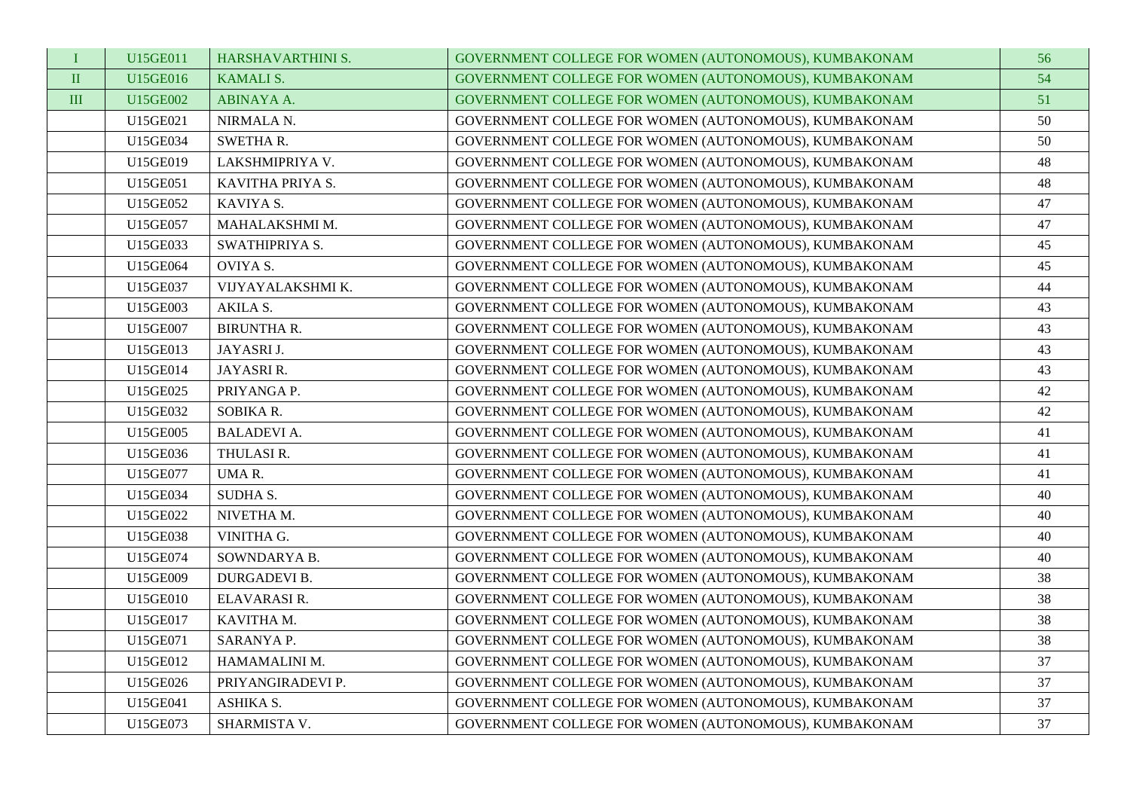| $\bf{I}$       | U15GE011 | HARSHAVARTHINI S.   | GOVERNMENT COLLEGE FOR WOMEN (AUTONOMOUS), KUMBAKONAM | 56 |
|----------------|----------|---------------------|-------------------------------------------------------|----|
| $\rm II$       | U15GE016 | <b>KAMALI S.</b>    | GOVERNMENT COLLEGE FOR WOMEN (AUTONOMOUS), KUMBAKONAM | 54 |
| $\mathbf{III}$ | U15GE002 | ABINAYA A.          | GOVERNMENT COLLEGE FOR WOMEN (AUTONOMOUS), KUMBAKONAM | 51 |
|                | U15GE021 | NIRMALA N.          | GOVERNMENT COLLEGE FOR WOMEN (AUTONOMOUS), KUMBAKONAM | 50 |
|                | U15GE034 | <b>SWETHAR.</b>     | GOVERNMENT COLLEGE FOR WOMEN (AUTONOMOUS), KUMBAKONAM | 50 |
|                | U15GE019 | LAKSHMIPRIYA V.     | GOVERNMENT COLLEGE FOR WOMEN (AUTONOMOUS), KUMBAKONAM | 48 |
|                | U15GE051 | KAVITHA PRIYA S.    | GOVERNMENT COLLEGE FOR WOMEN (AUTONOMOUS), KUMBAKONAM | 48 |
|                | U15GE052 | KAVIYA S.           | GOVERNMENT COLLEGE FOR WOMEN (AUTONOMOUS), KUMBAKONAM | 47 |
|                | U15GE057 | MAHALAKSHMI M.      | GOVERNMENT COLLEGE FOR WOMEN (AUTONOMOUS), KUMBAKONAM | 47 |
|                | U15GE033 | SWATHIPRIYA S.      | GOVERNMENT COLLEGE FOR WOMEN (AUTONOMOUS), KUMBAKONAM | 45 |
|                | U15GE064 | OVIYA S.            | GOVERNMENT COLLEGE FOR WOMEN (AUTONOMOUS), KUMBAKONAM | 45 |
|                | U15GE037 | VIJYAYALAKSHMI K.   | GOVERNMENT COLLEGE FOR WOMEN (AUTONOMOUS), KUMBAKONAM | 44 |
|                | U15GE003 | AKILA S.            | GOVERNMENT COLLEGE FOR WOMEN (AUTONOMOUS), KUMBAKONAM | 43 |
|                | U15GE007 | <b>BIRUNTHA R.</b>  | GOVERNMENT COLLEGE FOR WOMEN (AUTONOMOUS), KUMBAKONAM | 43 |
|                | U15GE013 | JAYASRI J.          | GOVERNMENT COLLEGE FOR WOMEN (AUTONOMOUS), KUMBAKONAM | 43 |
|                | U15GE014 | JAYASRI R.          | GOVERNMENT COLLEGE FOR WOMEN (AUTONOMOUS), KUMBAKONAM | 43 |
|                | U15GE025 | PRIYANGA P.         | GOVERNMENT COLLEGE FOR WOMEN (AUTONOMOUS), KUMBAKONAM | 42 |
|                | U15GE032 | SOBIKA R.           | GOVERNMENT COLLEGE FOR WOMEN (AUTONOMOUS), KUMBAKONAM | 42 |
|                | U15GE005 | <b>BALADEVI A.</b>  | GOVERNMENT COLLEGE FOR WOMEN (AUTONOMOUS), KUMBAKONAM | 41 |
|                | U15GE036 | THULASI R.          | GOVERNMENT COLLEGE FOR WOMEN (AUTONOMOUS), KUMBAKONAM | 41 |
|                | U15GE077 | UMAR.               | GOVERNMENT COLLEGE FOR WOMEN (AUTONOMOUS), KUMBAKONAM | 41 |
|                | U15GE034 | <b>SUDHA S.</b>     | GOVERNMENT COLLEGE FOR WOMEN (AUTONOMOUS), KUMBAKONAM | 40 |
|                | U15GE022 | NIVETHA M.          | GOVERNMENT COLLEGE FOR WOMEN (AUTONOMOUS), KUMBAKONAM | 40 |
|                | U15GE038 | VINITHA G.          | GOVERNMENT COLLEGE FOR WOMEN (AUTONOMOUS), KUMBAKONAM | 40 |
|                | U15GE074 | SOWNDARYA B.        | GOVERNMENT COLLEGE FOR WOMEN (AUTONOMOUS), KUMBAKONAM | 40 |
|                | U15GE009 | <b>DURGADEVI B.</b> | GOVERNMENT COLLEGE FOR WOMEN (AUTONOMOUS), KUMBAKONAM | 38 |
|                | U15GE010 | ELAVARASI R.        | GOVERNMENT COLLEGE FOR WOMEN (AUTONOMOUS), KUMBAKONAM | 38 |
|                | U15GE017 | KAVITHA M.          | GOVERNMENT COLLEGE FOR WOMEN (AUTONOMOUS), KUMBAKONAM | 38 |
|                | U15GE071 | SARANYA P.          | GOVERNMENT COLLEGE FOR WOMEN (AUTONOMOUS), KUMBAKONAM | 38 |
|                | U15GE012 | HAMAMALINI M.       | GOVERNMENT COLLEGE FOR WOMEN (AUTONOMOUS), KUMBAKONAM | 37 |
|                | U15GE026 | PRIYANGIRADEVI P.   | GOVERNMENT COLLEGE FOR WOMEN (AUTONOMOUS), KUMBAKONAM | 37 |
|                | U15GE041 | ASHIKA S.           | GOVERNMENT COLLEGE FOR WOMEN (AUTONOMOUS), KUMBAKONAM | 37 |
|                | U15GE073 | SHARMISTA V.        | GOVERNMENT COLLEGE FOR WOMEN (AUTONOMOUS), KUMBAKONAM | 37 |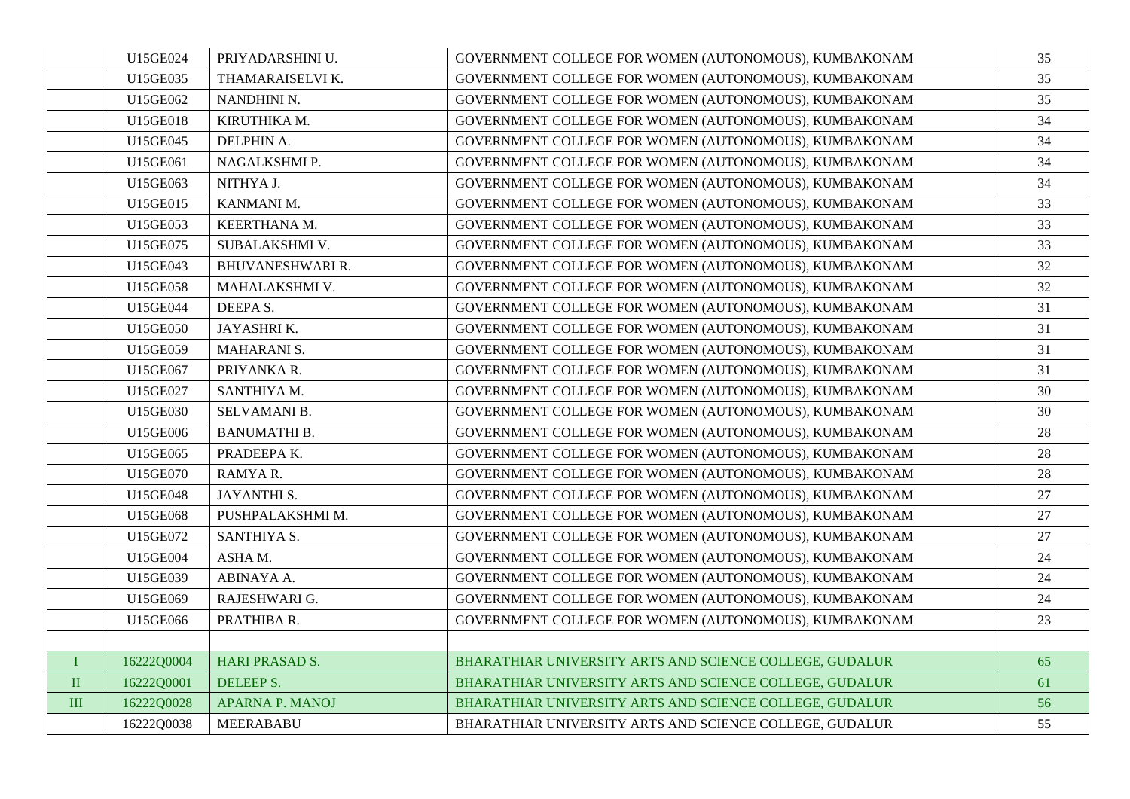|           | U15GE024   | PRIYADARSHINI U.        | GOVERNMENT COLLEGE FOR WOMEN (AUTONOMOUS), KUMBAKONAM   | 35     |
|-----------|------------|-------------------------|---------------------------------------------------------|--------|
|           | U15GE035   | THAMARAISELVI K.        | GOVERNMENT COLLEGE FOR WOMEN (AUTONOMOUS), KUMBAKONAM   | 35     |
|           | U15GE062   | NANDHINI N.             | GOVERNMENT COLLEGE FOR WOMEN (AUTONOMOUS), KUMBAKONAM   | 35     |
|           | U15GE018   | KIRUTHIKA M.            | GOVERNMENT COLLEGE FOR WOMEN (AUTONOMOUS), KUMBAKONAM   | 34     |
|           | U15GE045   | DELPHIN A.              | GOVERNMENT COLLEGE FOR WOMEN (AUTONOMOUS), KUMBAKONAM   | 34     |
|           | U15GE061   | NAGALKSHMI P.           | GOVERNMENT COLLEGE FOR WOMEN (AUTONOMOUS), KUMBAKONAM   | 34     |
|           | U15GE063   | NITHYA J.               | GOVERNMENT COLLEGE FOR WOMEN (AUTONOMOUS), KUMBAKONAM   | 34     |
|           | U15GE015   | KANMANI M.              | GOVERNMENT COLLEGE FOR WOMEN (AUTONOMOUS), KUMBAKONAM   | 33     |
|           | U15GE053   | KEERTHANA M.            | GOVERNMENT COLLEGE FOR WOMEN (AUTONOMOUS), KUMBAKONAM   | 33     |
|           | U15GE075   | SUBALAKSHMI V.          | GOVERNMENT COLLEGE FOR WOMEN (AUTONOMOUS), KUMBAKONAM   | 33     |
|           | U15GE043   | <b>BHUVANESHWARI R.</b> | GOVERNMENT COLLEGE FOR WOMEN (AUTONOMOUS), KUMBAKONAM   | 32     |
|           | U15GE058   | MAHALAKSHMI V.          | GOVERNMENT COLLEGE FOR WOMEN (AUTONOMOUS), KUMBAKONAM   | 32     |
|           | U15GE044   | DEEPA S.                | GOVERNMENT COLLEGE FOR WOMEN (AUTONOMOUS), KUMBAKONAM   | 31     |
|           | U15GE050   | JAYASHRI K.             | GOVERNMENT COLLEGE FOR WOMEN (AUTONOMOUS), KUMBAKONAM   | 31     |
|           | U15GE059   | <b>MAHARANI S.</b>      | GOVERNMENT COLLEGE FOR WOMEN (AUTONOMOUS), KUMBAKONAM   | 31     |
|           | U15GE067   | PRIYANKA R.             | GOVERNMENT COLLEGE FOR WOMEN (AUTONOMOUS), KUMBAKONAM   | 31     |
|           | U15GE027   | SANTHIYA M.             | GOVERNMENT COLLEGE FOR WOMEN (AUTONOMOUS), KUMBAKONAM   | 30     |
|           | U15GE030   | SELVAMANI B.            | GOVERNMENT COLLEGE FOR WOMEN (AUTONOMOUS), KUMBAKONAM   | 30     |
|           | U15GE006   | <b>BANUMATHI B.</b>     | GOVERNMENT COLLEGE FOR WOMEN (AUTONOMOUS), KUMBAKONAM   | 28     |
|           | U15GE065   | PRADEEPAK.              | GOVERNMENT COLLEGE FOR WOMEN (AUTONOMOUS), KUMBAKONAM   | 28     |
|           | U15GE070   | RAMYAR.                 | GOVERNMENT COLLEGE FOR WOMEN (AUTONOMOUS), KUMBAKONAM   | 28     |
|           | U15GE048   | <b>JAYANTHI S.</b>      | GOVERNMENT COLLEGE FOR WOMEN (AUTONOMOUS), KUMBAKONAM   | 27     |
|           | U15GE068   | PUSHPALAKSHMI M.        | GOVERNMENT COLLEGE FOR WOMEN (AUTONOMOUS), KUMBAKONAM   | 27     |
|           | U15GE072   | SANTHIYA S.             | GOVERNMENT COLLEGE FOR WOMEN (AUTONOMOUS), KUMBAKONAM   | $27\,$ |
|           | U15GE004   | ASHAM.                  | GOVERNMENT COLLEGE FOR WOMEN (AUTONOMOUS), KUMBAKONAM   | 24     |
|           | U15GE039   | ABINAYA A.              | GOVERNMENT COLLEGE FOR WOMEN (AUTONOMOUS), KUMBAKONAM   | 24     |
|           | U15GE069   | RAJESHWARI G.           | GOVERNMENT COLLEGE FOR WOMEN (AUTONOMOUS), KUMBAKONAM   | 24     |
|           | U15GE066   | PRATHIBA R.             | GOVERNMENT COLLEGE FOR WOMEN (AUTONOMOUS), KUMBAKONAM   | 23     |
|           |            |                         |                                                         |        |
| $\bf{I}$  | 16222Q0004 | <b>HARI PRASAD S.</b>   | BHARATHIAR UNIVERSITY ARTS AND SCIENCE COLLEGE, GUDALUR | 65     |
| $\rm II$  | 16222Q0001 | <b>DELEEP S.</b>        | BHARATHIAR UNIVERSITY ARTS AND SCIENCE COLLEGE, GUDALUR | 61     |
| $\rm III$ | 16222Q0028 | <b>APARNA P. MANOJ</b>  | BHARATHIAR UNIVERSITY ARTS AND SCIENCE COLLEGE. GUDALUR | 56     |
|           | 16222Q0038 | <b>MEERABABU</b>        | BHARATHIAR UNIVERSITY ARTS AND SCIENCE COLLEGE, GUDALUR | 55     |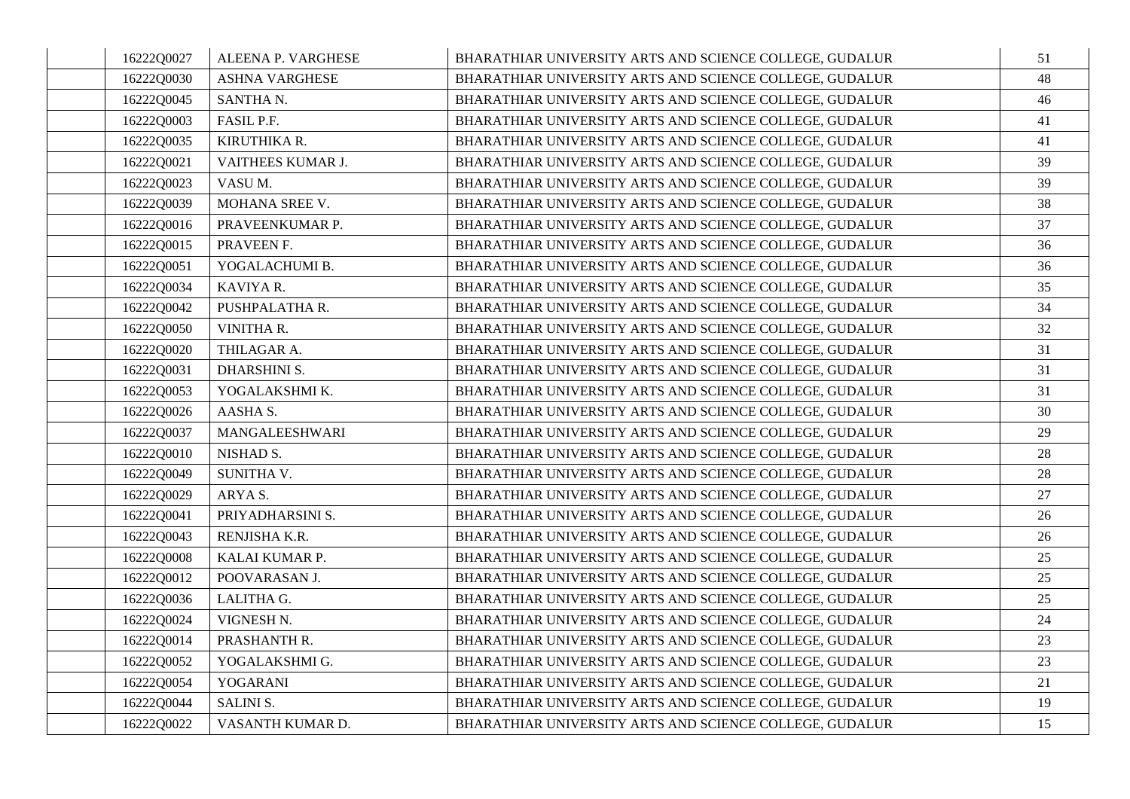| 16222Q0027 | ALEENA P. VARGHESE    | BHARATHIAR UNIVERSITY ARTS AND SCIENCE COLLEGE, GUDALUR | 51 |
|------------|-----------------------|---------------------------------------------------------|----|
| 16222Q0030 | <b>ASHNA VARGHESE</b> | BHARATHIAR UNIVERSITY ARTS AND SCIENCE COLLEGE, GUDALUR | 48 |
| 16222Q0045 | SANTHA N.             | BHARATHIAR UNIVERSITY ARTS AND SCIENCE COLLEGE, GUDALUR | 46 |
| 16222Q0003 | FASIL P.F.            | BHARATHIAR UNIVERSITY ARTS AND SCIENCE COLLEGE, GUDALUR | 41 |
| 16222Q0035 | KIRUTHIKA R.          | BHARATHIAR UNIVERSITY ARTS AND SCIENCE COLLEGE, GUDALUR | 41 |
| 16222Q0021 | VAITHEES KUMAR J.     | BHARATHIAR UNIVERSITY ARTS AND SCIENCE COLLEGE, GUDALUR | 39 |
| 16222Q0023 | VASUM.                | BHARATHIAR UNIVERSITY ARTS AND SCIENCE COLLEGE, GUDALUR | 39 |
| 16222Q0039 | MOHANA SREE V.        | BHARATHIAR UNIVERSITY ARTS AND SCIENCE COLLEGE, GUDALUR | 38 |
| 16222Q0016 | PRAVEENKUMAR P.       | BHARATHIAR UNIVERSITY ARTS AND SCIENCE COLLEGE, GUDALUR | 37 |
| 16222Q0015 | PRAVEEN F.            | BHARATHIAR UNIVERSITY ARTS AND SCIENCE COLLEGE, GUDALUR | 36 |
| 16222Q0051 | YOGALACHUMI B.        | BHARATHIAR UNIVERSITY ARTS AND SCIENCE COLLEGE, GUDALUR | 36 |
| 16222Q0034 | KAVIYA R.             | BHARATHIAR UNIVERSITY ARTS AND SCIENCE COLLEGE, GUDALUR | 35 |
| 16222Q0042 | PUSHPALATHA R.        | BHARATHIAR UNIVERSITY ARTS AND SCIENCE COLLEGE, GUDALUR | 34 |
| 16222Q0050 | VINITHA R.            | BHARATHIAR UNIVERSITY ARTS AND SCIENCE COLLEGE, GUDALUR | 32 |
| 16222Q0020 | THILAGAR A.           | BHARATHIAR UNIVERSITY ARTS AND SCIENCE COLLEGE, GUDALUR | 31 |
| 16222Q0031 | <b>DHARSHINI S.</b>   | BHARATHIAR UNIVERSITY ARTS AND SCIENCE COLLEGE, GUDALUR | 31 |
| 16222Q0053 | YOGALAKSHMI K.        | BHARATHIAR UNIVERSITY ARTS AND SCIENCE COLLEGE, GUDALUR | 31 |
| 16222Q0026 | AASHA S.              | BHARATHIAR UNIVERSITY ARTS AND SCIENCE COLLEGE, GUDALUR | 30 |
| 16222Q0037 | MANGALEESHWARI        | BHARATHIAR UNIVERSITY ARTS AND SCIENCE COLLEGE, GUDALUR | 29 |
| 16222Q0010 | NISHAD S.             | BHARATHIAR UNIVERSITY ARTS AND SCIENCE COLLEGE, GUDALUR | 28 |
| 16222Q0049 | SUNITHA V.            | BHARATHIAR UNIVERSITY ARTS AND SCIENCE COLLEGE, GUDALUR | 28 |
| 16222Q0029 | ARYA S.               | BHARATHIAR UNIVERSITY ARTS AND SCIENCE COLLEGE, GUDALUR | 27 |
| 16222Q0041 | PRIYADHARSINI S.      | BHARATHIAR UNIVERSITY ARTS AND SCIENCE COLLEGE, GUDALUR | 26 |
| 16222Q0043 | RENJISHA K.R.         | BHARATHIAR UNIVERSITY ARTS AND SCIENCE COLLEGE, GUDALUR | 26 |
| 16222Q0008 | KALAI KUMAR P.        | BHARATHIAR UNIVERSITY ARTS AND SCIENCE COLLEGE, GUDALUR | 25 |
| 16222Q0012 | POOVARASAN J.         | BHARATHIAR UNIVERSITY ARTS AND SCIENCE COLLEGE, GUDALUR | 25 |
| 16222Q0036 | LALITHA G.            | BHARATHIAR UNIVERSITY ARTS AND SCIENCE COLLEGE, GUDALUR | 25 |
| 16222Q0024 | VIGNESH N.            | BHARATHIAR UNIVERSITY ARTS AND SCIENCE COLLEGE, GUDALUR | 24 |
| 16222Q0014 | PRASHANTH R.          | BHARATHIAR UNIVERSITY ARTS AND SCIENCE COLLEGE, GUDALUR | 23 |
| 16222Q0052 | YOGALAKSHMI G.        | BHARATHIAR UNIVERSITY ARTS AND SCIENCE COLLEGE, GUDALUR | 23 |
| 16222Q0054 | YOGARANI              | BHARATHIAR UNIVERSITY ARTS AND SCIENCE COLLEGE, GUDALUR | 21 |
| 16222Q0044 | SALINI S.             | BHARATHIAR UNIVERSITY ARTS AND SCIENCE COLLEGE, GUDALUR | 19 |
| 16222Q0022 | VASANTH KUMAR D.      | BHARATHIAR UNIVERSITY ARTS AND SCIENCE COLLEGE, GUDALUR | 15 |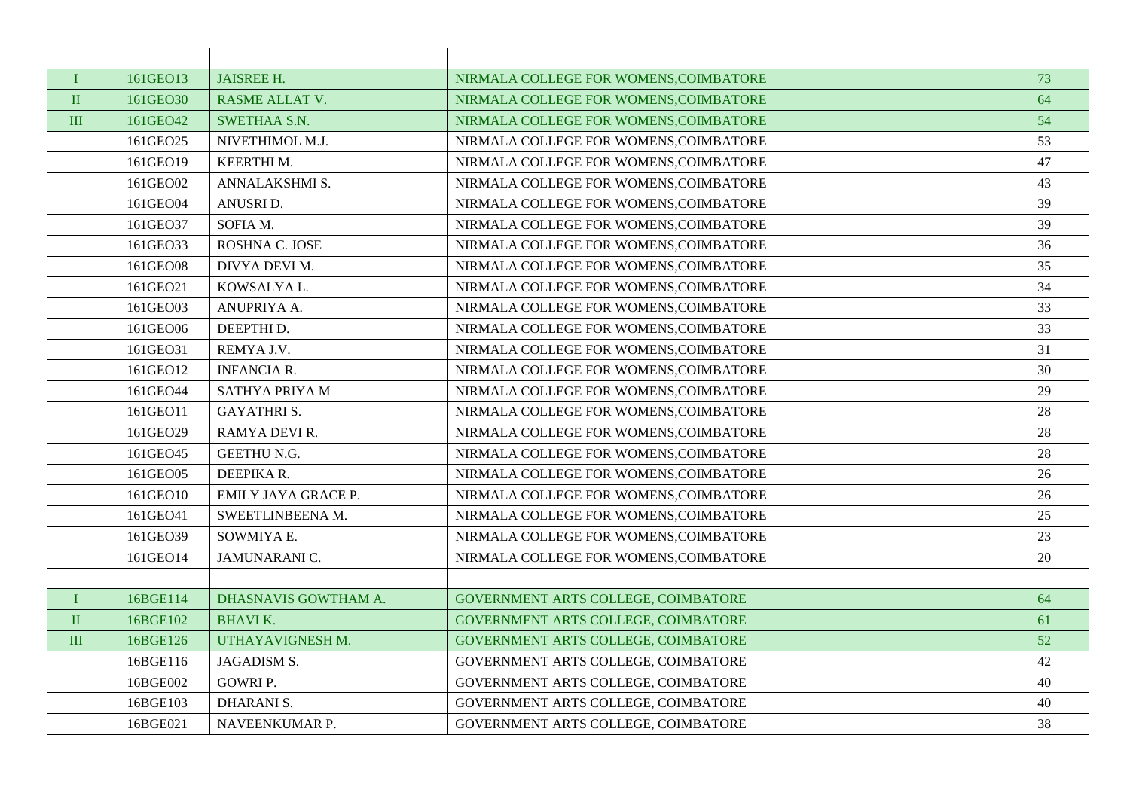| T            | 161GEO13 | <b>JAISREE H.</b>     | NIRMALA COLLEGE FOR WOMENS, COIMBATORE | 73 |
|--------------|----------|-----------------------|----------------------------------------|----|
| $\rm II$     | 161GEO30 | <b>RASME ALLAT V.</b> | NIRMALA COLLEGE FOR WOMENS.COIMBATORE  | 64 |
| $\mathbf{I}$ | 161GEO42 | <b>SWETHAA S.N.</b>   | NIRMALA COLLEGE FOR WOMENS.COIMBATORE  | 54 |
|              | 161GEO25 | NIVETHIMOL M.J.       | NIRMALA COLLEGE FOR WOMENS, COIMBATORE | 53 |
|              | 161GEO19 | <b>KEERTHIM.</b>      | NIRMALA COLLEGE FOR WOMENS, COIMBATORE | 47 |
|              | 161GEO02 | ANNALAKSHMI S.        | NIRMALA COLLEGE FOR WOMENS, COIMBATORE | 43 |
|              | 161GEO04 | ANUSRI D.             | NIRMALA COLLEGE FOR WOMENS, COIMBATORE | 39 |
|              | 161GEO37 | SOFIA M.              | NIRMALA COLLEGE FOR WOMENS.COIMBATORE  | 39 |
|              | 161GEO33 | ROSHNA C. JOSE        | NIRMALA COLLEGE FOR WOMENS, COIMBATORE | 36 |
|              | 161GEO08 | DIVYA DEVI M.         | NIRMALA COLLEGE FOR WOMENS, COIMBATORE | 35 |
|              | 161GEO21 | KOWSALYA L.           | NIRMALA COLLEGE FOR WOMENS, COIMBATORE | 34 |
|              | 161GEO03 | ANUPRIYA A.           | NIRMALA COLLEGE FOR WOMENS, COIMBATORE | 33 |
|              | 161GEO06 | DEEPTHI D.            | NIRMALA COLLEGE FOR WOMENS, COIMBATORE | 33 |
|              | 161GEO31 | REMYA J.V.            | NIRMALA COLLEGE FOR WOMENS, COIMBATORE | 31 |
|              | 161GEO12 | <b>INFANCIA R.</b>    | NIRMALA COLLEGE FOR WOMENS, COIMBATORE | 30 |
|              | 161GEO44 | <b>SATHYA PRIYA M</b> | NIRMALA COLLEGE FOR WOMENS, COIMBATORE | 29 |
|              | 161GEO11 | <b>GAYATHRIS.</b>     | NIRMALA COLLEGE FOR WOMENS, COIMBATORE | 28 |
|              | 161GEO29 | RAMYA DEVI R.         | NIRMALA COLLEGE FOR WOMENS, COIMBATORE | 28 |
|              | 161GEO45 | <b>GEETHU N.G.</b>    | NIRMALA COLLEGE FOR WOMENS, COIMBATORE | 28 |
|              | 161GEO05 | DEEPIKA R.            | NIRMALA COLLEGE FOR WOMENS, COIMBATORE | 26 |
|              | 161GEO10 | EMILY JAYA GRACE P.   | NIRMALA COLLEGE FOR WOMENS, COIMBATORE | 26 |
|              | 161GEO41 | SWEETLINBEENA M.      | NIRMALA COLLEGE FOR WOMENS, COIMBATORE | 25 |
|              | 161GEO39 | SOWMIYA E.            | NIRMALA COLLEGE FOR WOMENS, COIMBATORE | 23 |
|              | 161GEO14 | JAMUNARANI C.         | NIRMALA COLLEGE FOR WOMENS, COIMBATORE | 20 |
|              |          |                       |                                        |    |
| T            | 16BGE114 | DHASNAVIS GOWTHAM A.  | GOVERNMENT ARTS COLLEGE, COIMBATORE    | 64 |
| $\rm II$     | 16BGE102 | <b>BHAVI K.</b>       | GOVERNMENT ARTS COLLEGE, COIMBATORE    | 61 |
| III          | 16BGE126 | UTHAYAVIGNESH M.      | GOVERNMENT ARTS COLLEGE, COIMBATORE    | 52 |
|              | 16BGE116 | <b>JAGADISM S.</b>    | GOVERNMENT ARTS COLLEGE, COIMBATORE    | 42 |
|              | 16BGE002 | <b>GOWRIP.</b>        | GOVERNMENT ARTS COLLEGE, COIMBATORE    | 40 |
|              | 16BGE103 | <b>DHARANI S.</b>     | GOVERNMENT ARTS COLLEGE, COIMBATORE    | 40 |
|              | 16BGE021 | NAVEENKUMAR P.        | GOVERNMENT ARTS COLLEGE, COIMBATORE    | 38 |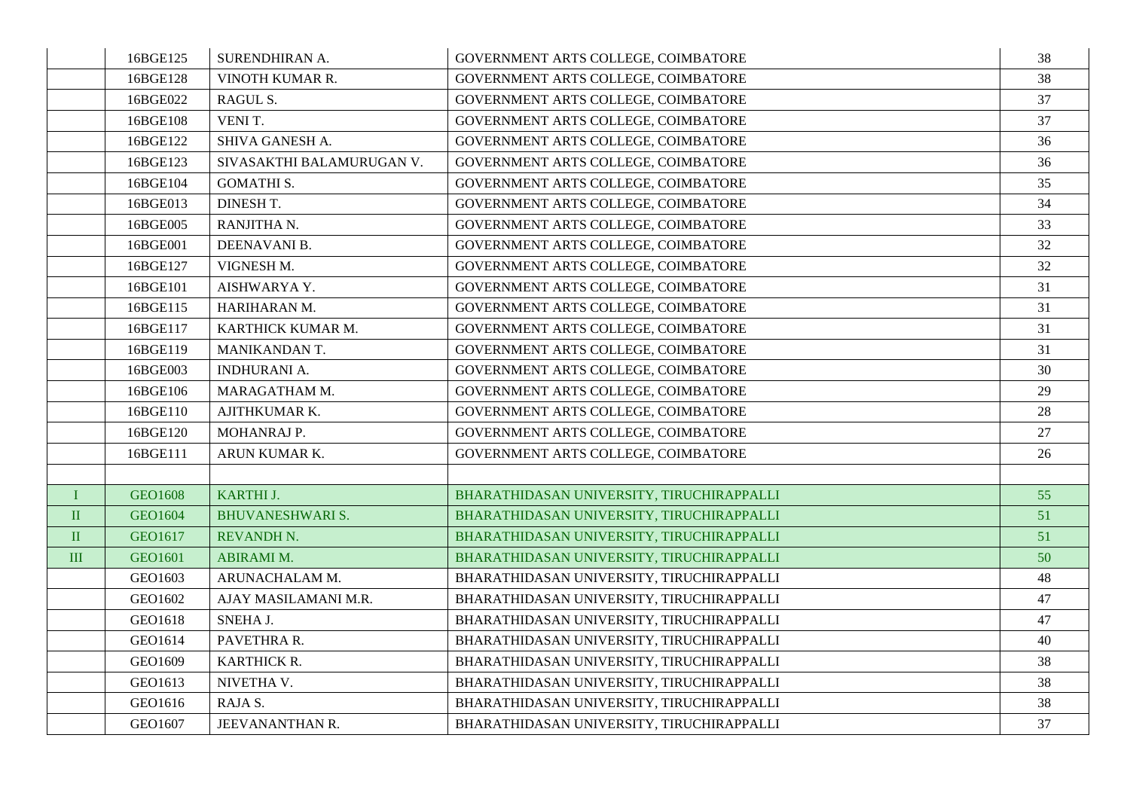|              | 16BGE125 | SURENDHIRAN A.            | GOVERNMENT ARTS COLLEGE, COIMBATORE        | 38 |
|--------------|----------|---------------------------|--------------------------------------------|----|
|              | 16BGE128 | VINOTH KUMAR R.           | GOVERNMENT ARTS COLLEGE, COIMBATORE        | 38 |
|              | 16BGE022 | RAGUL S.                  | GOVERNMENT ARTS COLLEGE, COIMBATORE        | 37 |
|              | 16BGE108 | VENIT.                    | GOVERNMENT ARTS COLLEGE, COIMBATORE        | 37 |
|              | 16BGE122 | SHIVA GANESH A.           | GOVERNMENT ARTS COLLEGE, COIMBATORE        | 36 |
|              | 16BGE123 | SIVASAKTHI BALAMURUGAN V. | GOVERNMENT ARTS COLLEGE, COIMBATORE        | 36 |
|              | 16BGE104 | <b>GOMATHI S.</b>         | GOVERNMENT ARTS COLLEGE, COIMBATORE        | 35 |
|              | 16BGE013 | DINESH T.                 | GOVERNMENT ARTS COLLEGE, COIMBATORE        | 34 |
|              | 16BGE005 | RANJITHA N.               | <b>GOVERNMENT ARTS COLLEGE, COIMBATORE</b> | 33 |
|              | 16BGE001 | DEENAVANI B.              | GOVERNMENT ARTS COLLEGE, COIMBATORE        | 32 |
|              | 16BGE127 | VIGNESH M.                | GOVERNMENT ARTS COLLEGE, COIMBATORE        | 32 |
|              | 16BGE101 | AISHWARYA Y.              | GOVERNMENT ARTS COLLEGE, COIMBATORE        | 31 |
|              | 16BGE115 | HARIHARAN M.              | GOVERNMENT ARTS COLLEGE, COIMBATORE        | 31 |
|              | 16BGE117 | KARTHICK KUMAR M.         | GOVERNMENT ARTS COLLEGE, COIMBATORE        | 31 |
|              | 16BGE119 | <b>MANIKANDAN T.</b>      | GOVERNMENT ARTS COLLEGE, COIMBATORE        | 31 |
|              | 16BGE003 | <b>INDHURANI A.</b>       | GOVERNMENT ARTS COLLEGE, COIMBATORE        | 30 |
|              | 16BGE106 | MARAGATHAM M.             | GOVERNMENT ARTS COLLEGE, COIMBATORE        | 29 |
|              | 16BGE110 | AJITHKUMAR K.             | GOVERNMENT ARTS COLLEGE, COIMBATORE        | 28 |
|              | 16BGE120 | MOHANRAJ P.               | GOVERNMENT ARTS COLLEGE, COIMBATORE        | 27 |
|              | 16BGE111 | ARUN KUMAR K.             | GOVERNMENT ARTS COLLEGE, COIMBATORE        | 26 |
|              |          |                           |                                            |    |
| $\bf{I}$     | GEO1608  | KARTHI J.                 | BHARATHIDASAN UNIVERSITY, TIRUCHIRAPPALLI  | 55 |
| $\rm II$     | GEO1604  | <b>BHUVANESHWARI S.</b>   | BHARATHIDASAN UNIVERSITY, TIRUCHIRAPPALLI  | 51 |
| $\mathbf{I}$ | GEO1617  | <b>REVANDH N.</b>         | BHARATHIDASAN UNIVERSITY, TIRUCHIRAPPALLI  | 51 |
| III          | GEO1601  | <b>ABIRAMI M.</b>         | BHARATHIDASAN UNIVERSITY, TIRUCHIRAPPALLI  | 50 |
|              | GEO1603  | ARUNACHALAM M.            | BHARATHIDASAN UNIVERSITY, TIRUCHIRAPPALLI  | 48 |
|              | GEO1602  | AJAY MASILAMANI M.R.      | BHARATHIDASAN UNIVERSITY, TIRUCHIRAPPALLI  | 47 |
|              | GEO1618  | SNEHA J.                  | BHARATHIDASAN UNIVERSITY, TIRUCHIRAPPALLI  | 47 |
|              | GEO1614  | PAVETHRA R.               | BHARATHIDASAN UNIVERSITY, TIRUCHIRAPPALLI  | 40 |
|              | GEO1609  | KARTHICK R.               | BHARATHIDASAN UNIVERSITY, TIRUCHIRAPPALLI  | 38 |
|              | GEO1613  | NIVETHA V.                | BHARATHIDASAN UNIVERSITY, TIRUCHIRAPPALLI  | 38 |
|              | GEO1616  | RAJA S.                   | BHARATHIDASAN UNIVERSITY, TIRUCHIRAPPALLI  | 38 |
|              | GEO1607  | JEEVANANTHAN R.           | BHARATHIDASAN UNIVERSITY, TIRUCHIRAPPALLI  | 37 |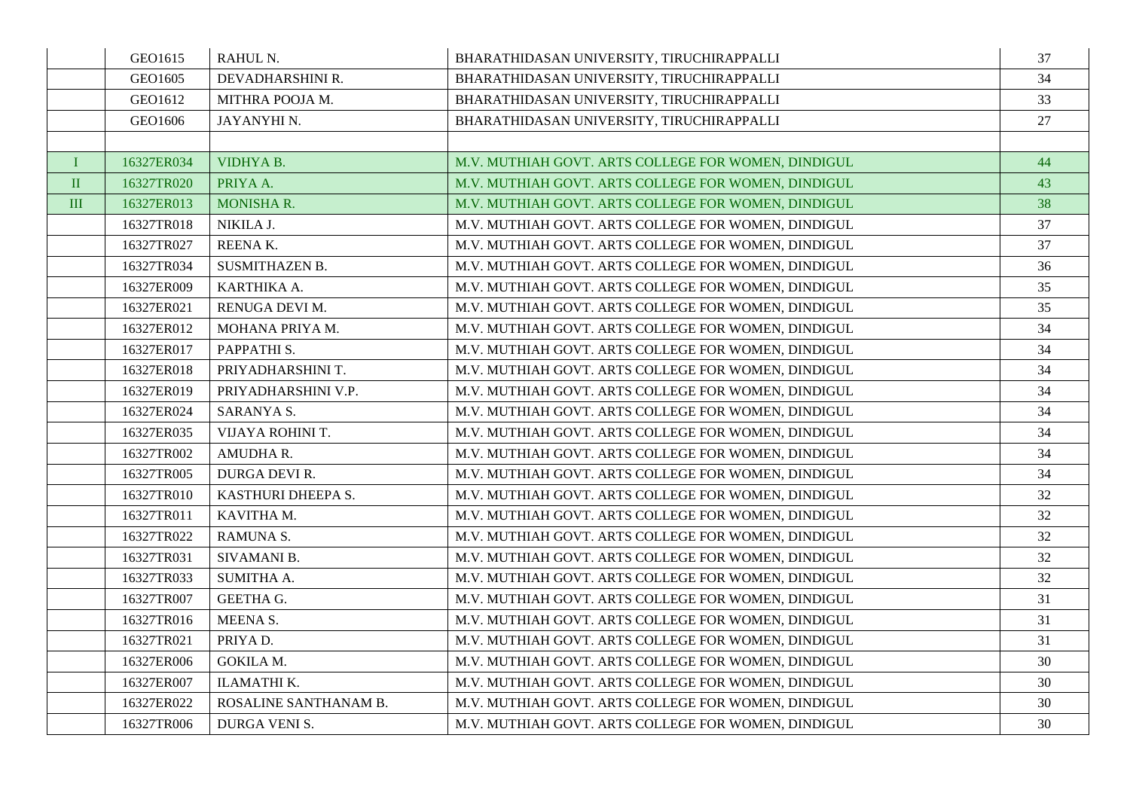|              | GEO1615    | RAHUL N.                | BHARATHIDASAN UNIVERSITY, TIRUCHIRAPPALLI           | 37 |
|--------------|------------|-------------------------|-----------------------------------------------------|----|
|              | GEO1605    | DEVADHARSHINI R.        | BHARATHIDASAN UNIVERSITY, TIRUCHIRAPPALLI           | 34 |
|              | GEO1612    | MITHRA POOJA M.         | BHARATHIDASAN UNIVERSITY, TIRUCHIRAPPALLI           | 33 |
|              | GEO1606    | JAYANYHI N.             | BHARATHIDASAN UNIVERSITY, TIRUCHIRAPPALLI           | 27 |
|              |            |                         |                                                     |    |
| I            | 16327ER034 | VIDHYA B.               | M.V. MUTHIAH GOVT. ARTS COLLEGE FOR WOMEN, DINDIGUL | 44 |
| $\mathbf{I}$ | 16327TR020 | PRIYA A.                | M.V. MUTHIAH GOVT. ARTS COLLEGE FOR WOMEN, DINDIGUL | 43 |
| $\mathbf{I}$ | 16327ER013 | <b>MONISHA R.</b>       | M.V. MUTHIAH GOVT. ARTS COLLEGE FOR WOMEN, DINDIGUL | 38 |
|              | 16327TR018 | NIKILA J.               | M.V. MUTHIAH GOVT. ARTS COLLEGE FOR WOMEN, DINDIGUL | 37 |
|              | 16327TR027 | REENAK.                 | M.V. MUTHIAH GOVT. ARTS COLLEGE FOR WOMEN, DINDIGUL | 37 |
|              | 16327TR034 | <b>SUSMITHAZEN B.</b>   | M.V. MUTHIAH GOVT. ARTS COLLEGE FOR WOMEN, DINDIGUL | 36 |
|              | 16327ER009 | KARTHIKA A.             | M.V. MUTHIAH GOVT. ARTS COLLEGE FOR WOMEN, DINDIGUL | 35 |
|              | 16327ER021 | RENUGA DEVI M.          | M.V. MUTHIAH GOVT. ARTS COLLEGE FOR WOMEN, DINDIGUL | 35 |
|              | 16327ER012 | MOHANA PRIYA M.         | M.V. MUTHIAH GOVT. ARTS COLLEGE FOR WOMEN, DINDIGUL | 34 |
|              | 16327ER017 | PAPPATHI <sub>S</sub> . | M.V. MUTHIAH GOVT. ARTS COLLEGE FOR WOMEN, DINDIGUL | 34 |
|              | 16327ER018 | PRIYADHARSHINI T.       | M.V. MUTHIAH GOVT. ARTS COLLEGE FOR WOMEN, DINDIGUL | 34 |
|              | 16327ER019 | PRIYADHARSHINI V.P.     | M.V. MUTHIAH GOVT. ARTS COLLEGE FOR WOMEN, DINDIGUL | 34 |
|              | 16327ER024 | SARANYA S.              | M.V. MUTHIAH GOVT. ARTS COLLEGE FOR WOMEN, DINDIGUL | 34 |
|              | 16327ER035 | VIJAYA ROHINI T.        | M.V. MUTHIAH GOVT. ARTS COLLEGE FOR WOMEN, DINDIGUL | 34 |
|              | 16327TR002 | AMUDHA R.               | M.V. MUTHIAH GOVT. ARTS COLLEGE FOR WOMEN, DINDIGUL | 34 |
|              | 16327TR005 | DURGA DEVI R.           | M.V. MUTHIAH GOVT. ARTS COLLEGE FOR WOMEN, DINDIGUL | 34 |
|              | 16327TR010 | KASTHURI DHEEPA S.      | M.V. MUTHIAH GOVT. ARTS COLLEGE FOR WOMEN, DINDIGUL | 32 |
|              | 16327TR011 | KAVITHA M.              | M.V. MUTHIAH GOVT. ARTS COLLEGE FOR WOMEN, DINDIGUL | 32 |
|              | 16327TR022 | RAMUNA S.               | M.V. MUTHIAH GOVT. ARTS COLLEGE FOR WOMEN, DINDIGUL | 32 |
|              | 16327TR031 | SIVAMANI B.             | M.V. MUTHIAH GOVT. ARTS COLLEGE FOR WOMEN, DINDIGUL | 32 |
|              | 16327TR033 | SUMITHA A.              | M.V. MUTHIAH GOVT. ARTS COLLEGE FOR WOMEN, DINDIGUL | 32 |
|              | 16327TR007 | <b>GEETHA G.</b>        | M.V. MUTHIAH GOVT. ARTS COLLEGE FOR WOMEN, DINDIGUL | 31 |
|              | 16327TR016 | MEENA S.                | M.V. MUTHIAH GOVT. ARTS COLLEGE FOR WOMEN, DINDIGUL | 31 |
|              | 16327TR021 | PRIYAD.                 | M.V. MUTHIAH GOVT. ARTS COLLEGE FOR WOMEN, DINDIGUL | 31 |
|              | 16327ER006 | <b>GOKILA M.</b>        | M.V. MUTHIAH GOVT. ARTS COLLEGE FOR WOMEN, DINDIGUL | 30 |
|              | 16327ER007 | ILAMATHI K.             | M.V. MUTHIAH GOVT. ARTS COLLEGE FOR WOMEN, DINDIGUL | 30 |
|              | 16327ER022 | ROSALINE SANTHANAM B.   | M.V. MUTHIAH GOVT. ARTS COLLEGE FOR WOMEN, DINDIGUL | 30 |
|              | 16327TR006 | DURGA VENI S.           | M.V. MUTHIAH GOVT. ARTS COLLEGE FOR WOMEN, DINDIGUL | 30 |